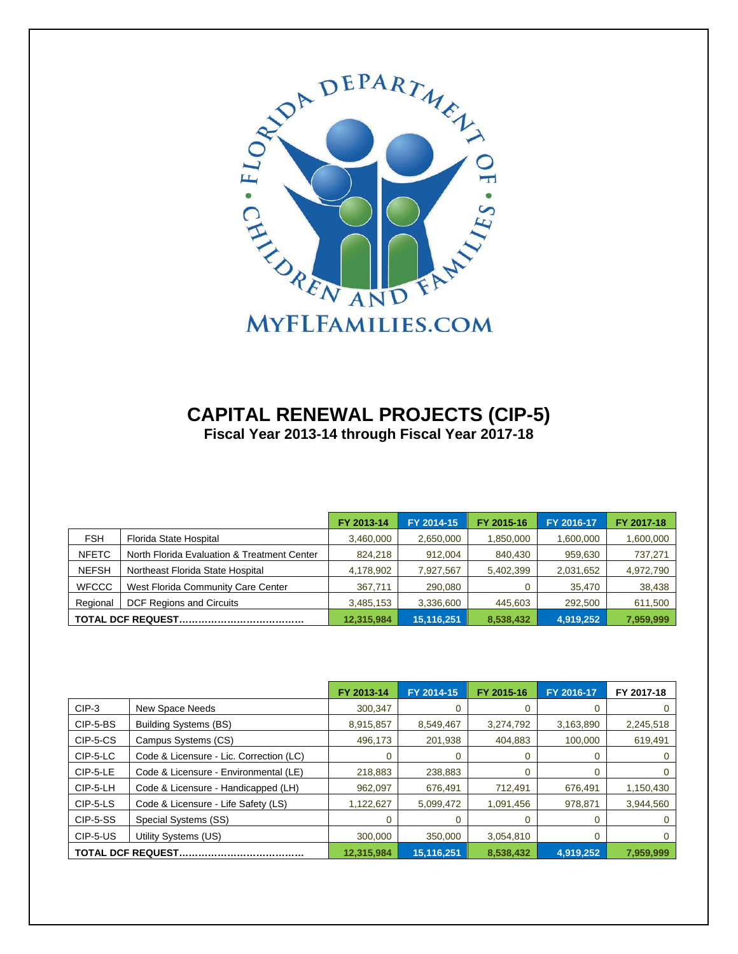

#### **CAPITAL RENEWAL PROJECTS (CIP-5) Fiscal Year 2013-14 through Fiscal Year 2017-18**

|              |                                             | FY 2013-14 | FY 2014-15 | FY 2015-16 | FY 2016-17 | FY 2017-18 |
|--------------|---------------------------------------------|------------|------------|------------|------------|------------|
| <b>FSH</b>   | Florida State Hospital                      | 3,460,000  | 2,650,000  | 1,850,000  | 1,600,000  | 1,600,000  |
| <b>NFETC</b> | North Florida Evaluation & Treatment Center | 824,218    | 912.004    | 840.430    | 959,630    | 737,271    |
| <b>NEFSH</b> | Northeast Florida State Hospital            | 4,178,902  | 7,927,567  | 5,402,399  | 2,031,652  | 4,972,790  |
| <b>WFCCC</b> | West Florida Community Care Center          | 367,711    | 290,080    |            | 35,470     | 38,438     |
| Regional     | <b>DCF Regions and Circuits</b>             | 3,485,153  | 3,336,600  | 445,603    | 292,500    | 611,500    |
|              |                                             | 12,315,984 | 15,116,251 | 8,538,432  | 4,919,252  | 7,959,999  |

|                           |                                         | FY 2013-14 | FY 2014-15 | FY 2015-16 | FY 2016-17 | FY 2017-18 |
|---------------------------|-----------------------------------------|------------|------------|------------|------------|------------|
| $CIP-3$                   | New Space Needs                         | 300,347    |            |            |            |            |
| CIP-5-BS                  | <b>Building Systems (BS)</b>            | 8,915,857  | 8,549,467  | 3,274,792  | 3,163,890  | 2,245,518  |
| CIP-5-CS                  | Campus Systems (CS)                     | 496.173    | 201,938    | 404.883    | 100,000    | 619,491    |
| CIP-5-LC                  | Code & Licensure - Lic. Correction (LC) |            | 0          | O          |            |            |
| CIP-5-LE                  | Code & Licensure - Environmental (LE)   | 218,883    | 238,883    |            |            |            |
| CIP-5-LH                  | Code & Licensure - Handicapped (LH)     | 962,097    | 676,491    | 712,491    | 676.491    | 1,150,430  |
| CIP-5-LS                  | Code & Licensure - Life Safety (LS)     | 1,122,627  | 5,099,472  | 1,091,456  | 978,871    | 3,944,560  |
| CIP-5-SS                  | Special Systems (SS)                    |            |            |            |            |            |
| CIP-5-US                  | Utility Systems (US)                    | 300,000    | 350,000    | 3,054,810  |            |            |
| <b>TOTAL DCF REQUEST.</b> |                                         | 12,315,984 | 15,116,251 | 8,538,432  | 4,919,252  | 7,959,999  |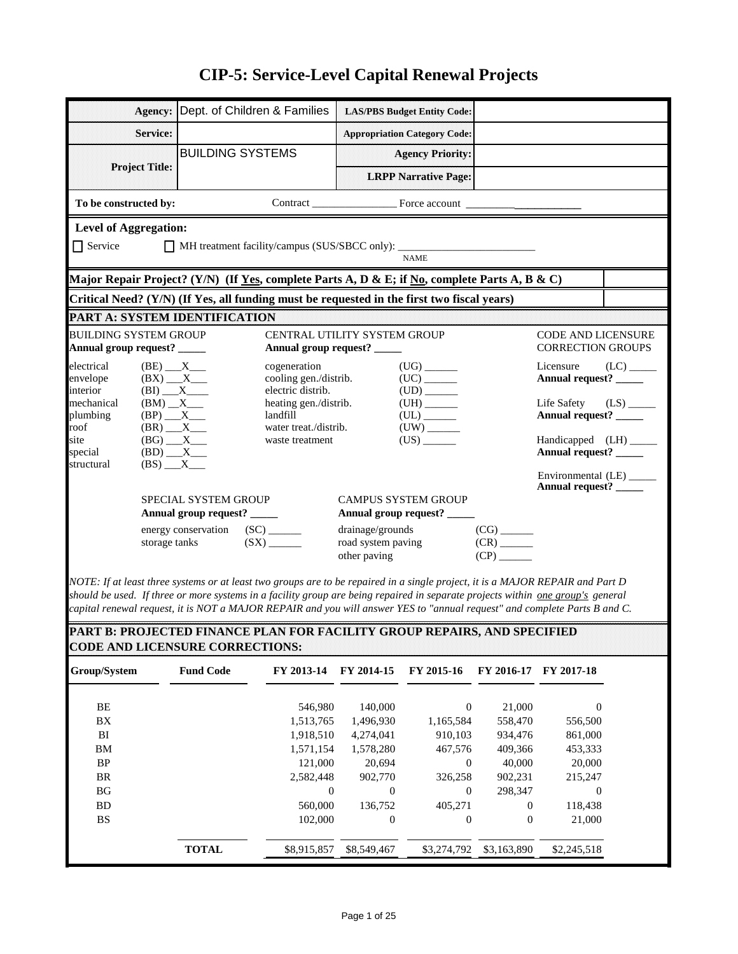|                               |                                |                             | Agency: Dept. of Children & Families                                                                         |                    | <b>LAS/PBS Budget Entity Code:</b>  |                                 |                                             |                         |
|-------------------------------|--------------------------------|-----------------------------|--------------------------------------------------------------------------------------------------------------|--------------------|-------------------------------------|---------------------------------|---------------------------------------------|-------------------------|
|                               | <b>Service:</b>                |                             |                                                                                                              |                    | <b>Appropriation Category Code:</b> |                                 |                                             |                         |
|                               |                                | <b>BUILDING SYSTEMS</b>     |                                                                                                              |                    | <b>Agency Priority:</b>             |                                 |                                             |                         |
|                               | <b>Project Title:</b>          |                             |                                                                                                              |                    | <b>LRPP Narrative Page:</b>         |                                 |                                             |                         |
| To be constructed by:         |                                |                             |                                                                                                              |                    |                                     |                                 |                                             |                         |
| <b>Level of Aggregation:</b>  |                                |                             |                                                                                                              |                    |                                     |                                 |                                             |                         |
| $\Box$ Service                |                                |                             |                                                                                                              |                    |                                     |                                 |                                             |                         |
|                               |                                |                             |                                                                                                              |                    | <b>NAME</b>                         |                                 |                                             |                         |
|                               |                                |                             | Major Repair Project? (Y/N) (If <u>Yes,</u> complete Parts A, D & E; if <u>No</u> , complete Parts A, B & C) |                    |                                     |                                 |                                             |                         |
|                               |                                |                             | Critical Need? (Y/N) (If Yes, all funding must be requested in the first two fiscal years)                   |                    |                                     |                                 |                                             |                         |
| PART A: SYSTEM IDENTIFICATION |                                |                             |                                                                                                              |                    |                                     |                                 |                                             |                         |
| <b>BUILDING SYSTEM GROUP</b>  |                                |                             | CENTRAL UTILITY SYSTEM GROUP                                                                                 |                    |                                     |                                 | <b>CODE AND LICENSURE</b>                   |                         |
| Annual group request? _____   |                                |                             | Annual group request? _____                                                                                  |                    |                                     |                                 | <b>CORRECTION GROUPS</b>                    |                         |
| electrical                    | $(BE)$ $X$                     |                             | cogeneration                                                                                                 |                    | $(UG)$ <sub>______</sub>            |                                 | Licensure                                   | (LC)                    |
| envelope<br>interior          | $(BX)$ $X$                     |                             | cooling gen./distrib.<br>electric distrib.                                                                   |                    | $\text{(UD)} \_\_$                  |                                 | Annual request? _____                       |                         |
| mechanical                    | $(BM)$ $X$                     |                             | heating gen./distrib.                                                                                        |                    |                                     |                                 | Life Safety                                 | $(LS)$ <sub>_____</sub> |
| plumbing                      | $(BP)$ $X$                     |                             | landfill                                                                                                     |                    |                                     |                                 | Annual request? _____                       |                         |
| roof<br>site                  | $(BR)$ $X$<br>$(BG)$ $X$       |                             | water treat./distrib.<br>waste treatment                                                                     |                    | $(US)$ <sub>_______</sub>           |                                 | Handicapped (LH) _____                      |                         |
| special                       | $(BD)$ $X$                     |                             |                                                                                                              |                    |                                     |                                 | Annual request? _____                       |                         |
| structural                    | $(BS)$ $X$                     |                             |                                                                                                              |                    |                                     |                                 |                                             |                         |
|                               |                                |                             |                                                                                                              |                    |                                     |                                 | Environmental (LE)<br>Annual request? _____ |                         |
|                               |                                | <b>SPECIAL SYSTEM GROUP</b> |                                                                                                              |                    | <b>CAMPUS SYSTEM GROUP</b>          |                                 |                                             |                         |
|                               |                                | Annual group request? _____ |                                                                                                              |                    | Annual group request? _____         |                                 |                                             |                         |
|                               | energy conservation (SC) _____ |                             |                                                                                                              | drainage/grounds   |                                     | $(CG)$ <sub>______</sub>        |                                             |                         |
|                               | storage tanks                  |                             | (SX)                                                                                                         | road system paving |                                     | $(CR)$ <sub>_____</sub><br>(CP) |                                             |                         |
|                               |                                |                             |                                                                                                              | other paving       |                                     |                                 |                                             |                         |

*NOTE: If at least three systems or at least two groups are to be repaired in a single project, it is a MAJOR REPAIR and Part D should be used. If three or more systems in a facility group are being repaired in separate projects within one group's general capital renewal request, it is NOT a MAJOR REPAIR and you will answer YES to "annual request" and complete Parts B and C.*

**PART B: PROJECTED FINANCE PLAN FOR FACILITY GROUP REPAIRS, AND SPECIFIED CODE AND LICENSURE CORRECTIONS:**

| Group/System | <b>Fund Code</b> | FY 2013-14  | FY 2014-15     | FY 2015-16       | FY 2016-17     | <b>FY 2017-18</b> |
|--------------|------------------|-------------|----------------|------------------|----------------|-------------------|
| BE           |                  | 546,980     | 140,000        | $\mathbf{0}$     | 21,000         | $\overline{0}$    |
| BX           |                  | 1,513,765   | 1,496,930      | 1,165,584        | 558,470        | 556,500           |
| BI           |                  | 1,918,510   | 4,274,041      | 910,103          | 934,476        | 861,000           |
| BM           |                  | 1,571,154   | 1,578,280      | 467,576          | 409.366        | 453,333           |
| <b>BP</b>    |                  | 121,000     | 20.694         | 0                | 40,000         | 20,000            |
| <b>BR</b>    |                  | 2.582.448   | 902,770        | 326,258          | 902.231        | 215,247           |
| BG           |                  | $\Omega$    | $\Omega$       | $\Omega$         | 298,347        | $\overline{0}$    |
| <b>BD</b>    |                  | 560,000     | 136.752        | 405,271          | $\overline{0}$ | 118,438           |
| <b>BS</b>    |                  | 102,000     | $\overline{0}$ | $\boldsymbol{0}$ | $\overline{0}$ | 21,000            |
|              | <b>TOTAL</b>     | \$8,915,857 | \$8,549,467    | \$3,274,792      | \$3,163,890    | \$2,245,518       |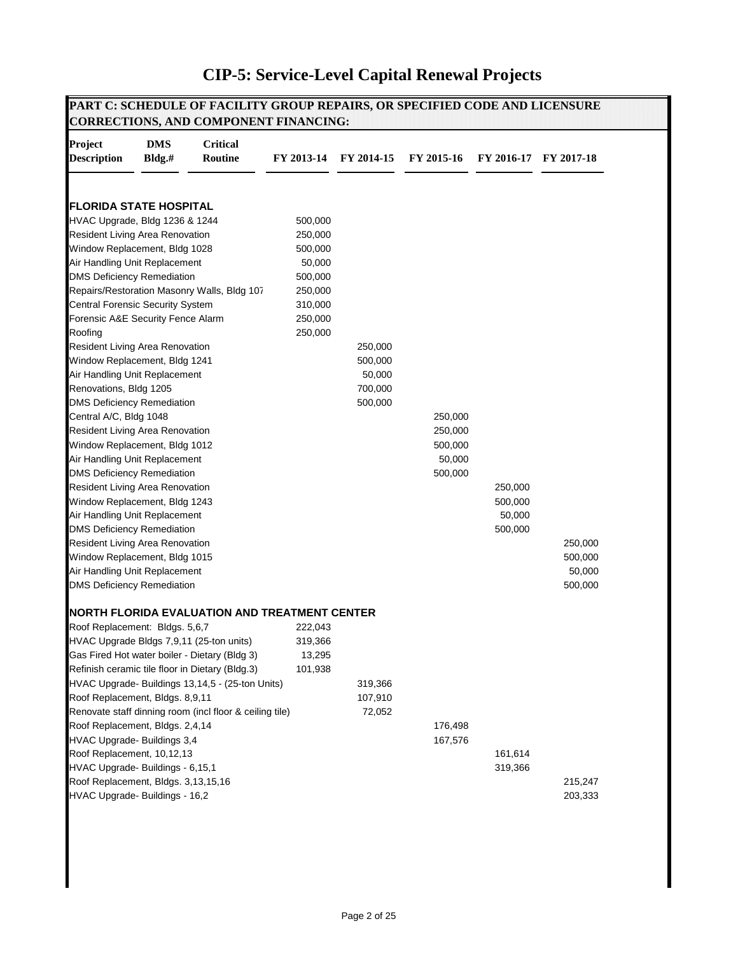| <b>Project</b><br><b>Description</b>                             | <b>DMS</b><br>$Bldg.*$ | <b>Critical</b><br>Routine                              | FY 2013-14 | FY 2014-15 | FY 2015-16         |         | FY 2016-17 FY 2017-18 |
|------------------------------------------------------------------|------------------------|---------------------------------------------------------|------------|------------|--------------------|---------|-----------------------|
| <b>FLORIDA STATE HOSPITAL</b>                                    |                        |                                                         |            |            |                    |         |                       |
| HVAC Upgrade, Bldg 1236 & 1244                                   |                        |                                                         | 500,000    |            |                    |         |                       |
| Resident Living Area Renovation                                  |                        |                                                         | 250,000    |            |                    |         |                       |
| Window Replacement, Bldg 1028                                    |                        |                                                         | 500,000    |            |                    |         |                       |
| Air Handling Unit Replacement                                    |                        |                                                         | 50,000     |            |                    |         |                       |
| <b>DMS Deficiency Remediation</b>                                |                        |                                                         | 500,000    |            |                    |         |                       |
|                                                                  |                        | Repairs/Restoration Masonry Walls, Bldg 107             | 250,000    |            |                    |         |                       |
| <b>Central Forensic Security System</b>                          |                        |                                                         | 310,000    |            |                    |         |                       |
| Forensic A&E Security Fence Alarm                                |                        |                                                         | 250,000    |            |                    |         |                       |
| Roofing                                                          |                        |                                                         | 250,000    |            |                    |         |                       |
| Resident Living Area Renovation                                  |                        |                                                         |            | 250,000    |                    |         |                       |
| Window Replacement, Bldg 1241                                    |                        |                                                         |            | 500,000    |                    |         |                       |
| Air Handling Unit Replacement                                    |                        |                                                         |            | 50,000     |                    |         |                       |
| Renovations, Bldg 1205                                           |                        |                                                         |            | 700,000    |                    |         |                       |
| <b>DMS Deficiency Remediation</b>                                |                        |                                                         |            | 500,000    |                    |         |                       |
| Central A/C, Bldg 1048                                           |                        |                                                         |            |            | 250,000            |         |                       |
| Resident Living Area Renovation<br>Window Replacement, Bldg 1012 |                        |                                                         |            |            | 250,000<br>500,000 |         |                       |
| Air Handling Unit Replacement                                    |                        |                                                         |            |            | 50,000             |         |                       |
| <b>DMS Deficiency Remediation</b>                                |                        |                                                         |            |            | 500,000            |         |                       |
| Resident Living Area Renovation                                  |                        |                                                         |            |            |                    | 250,000 |                       |
| Window Replacement, Bldg 1243                                    |                        |                                                         |            |            |                    | 500,000 |                       |
| Air Handling Unit Replacement                                    |                        |                                                         |            |            |                    | 50,000  |                       |
| <b>DMS Deficiency Remediation</b>                                |                        |                                                         |            |            |                    | 500,000 |                       |
| Resident Living Area Renovation                                  |                        |                                                         |            |            |                    |         | 250,000               |
| Window Replacement, Bldg 1015                                    |                        |                                                         |            |            |                    |         | 500,000               |
| Air Handling Unit Replacement                                    |                        |                                                         |            |            |                    |         | 50,000                |
| <b>DMS Deficiency Remediation</b>                                |                        |                                                         |            |            |                    |         | 500,000               |
|                                                                  |                        | NORTH FLORIDA EVALUATION AND TREATMENT CENTER           |            |            |                    |         |                       |
| Roof Replacement: Bldgs. 5,6,7                                   |                        |                                                         | 222,043    |            |                    |         |                       |
|                                                                  |                        | HVAC Upgrade Bldgs 7,9,11 (25-ton units)                | 319,366    |            |                    |         |                       |
|                                                                  |                        | Gas Fired Hot water boiler - Dietary (Bldg 3)           | 13,295     |            |                    |         |                       |
|                                                                  |                        | Refinish ceramic tile floor in Dietary (Bldg.3)         | 101,938    |            |                    |         |                       |
|                                                                  |                        | HVAC Upgrade- Buildings 13,14,5 - (25-ton Units)        |            | 319,366    |                    |         |                       |
| Roof Replacement, Bldgs. 8,9,11                                  |                        |                                                         |            | 107,910    |                    |         |                       |
|                                                                  |                        | Renovate staff dinning room (incl floor & ceiling tile) |            | 72,052     |                    |         |                       |
| Roof Replacement, Bldgs. 2,4,14                                  |                        |                                                         |            |            | 176,498            |         |                       |
| HVAC Upgrade- Buildings 3,4                                      |                        |                                                         |            |            | 167,576            |         |                       |
| Roof Replacement, 10,12,13                                       |                        |                                                         |            |            |                    | 161,614 |                       |
| HVAC Upgrade- Buildings - 6,15,1                                 |                        |                                                         |            |            |                    | 319,366 |                       |
| Roof Replacement, Bldgs. 3,13,15,16                              |                        |                                                         |            |            |                    |         | 215,247<br>203,333    |
| HVAC Upgrade- Buildings - 16,2                                   |                        |                                                         |            |            |                    |         |                       |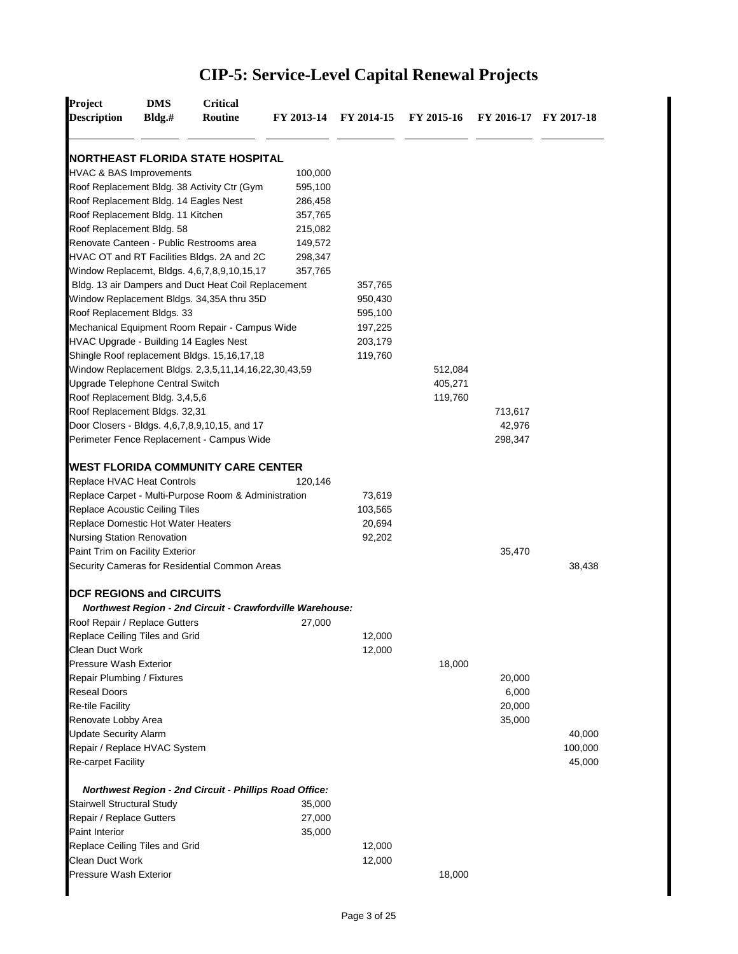| Project<br><b>Description</b>                 | <b>DMS</b><br>$Bldg.*$ | <b>Critical</b><br>Routine                                    | FY 2013-14 FY 2014-15 |         | FY 2015-16 |         | FY 2016-17 FY 2017-18 |
|-----------------------------------------------|------------------------|---------------------------------------------------------------|-----------------------|---------|------------|---------|-----------------------|
|                                               |                        | <b>INORTHEAST FLORIDA STATE HOSPITAL</b>                      |                       |         |            |         |                       |
| <b>HVAC &amp; BAS Improvements</b>            |                        |                                                               | 100,000               |         |            |         |                       |
|                                               |                        | Roof Replacement Bldg. 38 Activity Ctr (Gym                   | 595,100               |         |            |         |                       |
| Roof Replacement Bldg. 14 Eagles Nest         |                        |                                                               | 286,458               |         |            |         |                       |
| Roof Replacement Bldg. 11 Kitchen             |                        |                                                               | 357,765               |         |            |         |                       |
| Roof Replacement Bldg. 58                     |                        |                                                               | 215,082               |         |            |         |                       |
|                                               |                        | Renovate Canteen - Public Restrooms area                      | 149,572               |         |            |         |                       |
|                                               |                        | HVAC OT and RT Facilities Bldgs. 2A and 2C                    | 298,347               |         |            |         |                       |
|                                               |                        | Window Replacemt, Bldgs. 4,6,7,8,9,10,15,17                   | 357,765               |         |            |         |                       |
|                                               |                        | Bldg. 13 air Dampers and Duct Heat Coil Replacement           |                       | 357,765 |            |         |                       |
|                                               |                        | Window Replacement Bldgs. 34,35A thru 35D                     |                       | 950,430 |            |         |                       |
| Roof Replacement Bldgs. 33                    |                        |                                                               |                       | 595,100 |            |         |                       |
|                                               |                        | Mechanical Equipment Room Repair - Campus Wide                |                       | 197,225 |            |         |                       |
| <b>HVAC Upgrade - Building 14 Eagles Nest</b> |                        |                                                               |                       | 203,179 |            |         |                       |
|                                               |                        | Shingle Roof replacement Bldgs. 15,16,17,18                   |                       | 119,760 |            |         |                       |
|                                               |                        |                                                               |                       |         | 512,084    |         |                       |
|                                               |                        | Window Replacement Bldgs. 2,3,5,11,14,16,22,30,43,59          |                       |         |            |         |                       |
| Upgrade Telephone Central Switch              |                        |                                                               |                       |         | 405,271    |         |                       |
| Roof Replacement Bldg. 3,4,5,6                |                        |                                                               |                       |         | 119,760    |         |                       |
| Roof Replacement Bldgs. 32,31                 |                        |                                                               |                       |         |            | 713,617 |                       |
|                                               |                        | Door Closers - Bldgs. 4,6,7,8,9,10,15, and 17                 |                       |         |            | 42,976  |                       |
|                                               |                        | Perimeter Fence Replacement - Campus Wide                     |                       |         |            | 298,347 |                       |
|                                               |                        | <b>WEST FLORIDA COMMUNITY CARE CENTER</b>                     |                       |         |            |         |                       |
| Replace HVAC Heat Controls                    |                        |                                                               | 120,146               |         |            |         |                       |
|                                               |                        | Replace Carpet - Multi-Purpose Room & Administration          |                       | 73,619  |            |         |                       |
| Replace Acoustic Ceiling Tiles                |                        |                                                               |                       | 103,565 |            |         |                       |
| Replace Domestic Hot Water Heaters            |                        |                                                               |                       | 20,694  |            |         |                       |
| <b>Nursing Station Renovation</b>             |                        |                                                               |                       | 92,202  |            |         |                       |
| Paint Trim on Facility Exterior               |                        |                                                               |                       |         |            | 35,470  |                       |
|                                               |                        | Security Cameras for Residential Common Areas                 |                       |         |            |         | 38,438                |
| <b>DCF REGIONS and CIRCUITS</b>               |                        | Northwest Region - 2nd Circuit - Crawfordville Warehouse:     |                       |         |            |         |                       |
| Roof Repair / Replace Gutters                 |                        |                                                               | 27,000                |         |            |         |                       |
| Replace Ceiling Tiles and Grid                |                        |                                                               |                       | 12,000  |            |         |                       |
| Clean Duct Work                               |                        |                                                               |                       | 12,000  |            |         |                       |
| <b>Pressure Wash Exterior</b>                 |                        |                                                               |                       |         | 18,000     |         |                       |
| Repair Plumbing / Fixtures                    |                        |                                                               |                       |         |            | 20,000  |                       |
| <b>Reseal Doors</b>                           |                        |                                                               |                       |         |            | 6,000   |                       |
| <b>Re-tile Facility</b>                       |                        |                                                               |                       |         |            | 20,000  |                       |
| Renovate Lobby Area                           |                        |                                                               |                       |         |            | 35,000  |                       |
| <b>Update Security Alarm</b>                  |                        |                                                               |                       |         |            |         | 40,000                |
| Repair / Replace HVAC System                  |                        |                                                               |                       |         |            |         | 100,000               |
| <b>Re-carpet Facility</b>                     |                        |                                                               |                       |         |            |         | 45,000                |
|                                               |                        |                                                               |                       |         |            |         |                       |
|                                               |                        | <b>Northwest Region - 2nd Circuit - Phillips Road Office:</b> |                       |         |            |         |                       |
| Stairwell Structural Study                    |                        |                                                               | 35,000                |         |            |         |                       |
| Repair / Replace Gutters                      |                        |                                                               | 27,000                |         |            |         |                       |
| Paint Interior                                |                        |                                                               | 35,000                |         |            |         |                       |
| Replace Ceiling Tiles and Grid                |                        |                                                               |                       | 12,000  |            |         |                       |
| Clean Duct Work                               |                        |                                                               |                       | 12,000  |            |         |                       |
| Pressure Wash Exterior                        |                        |                                                               |                       |         | 18,000     |         |                       |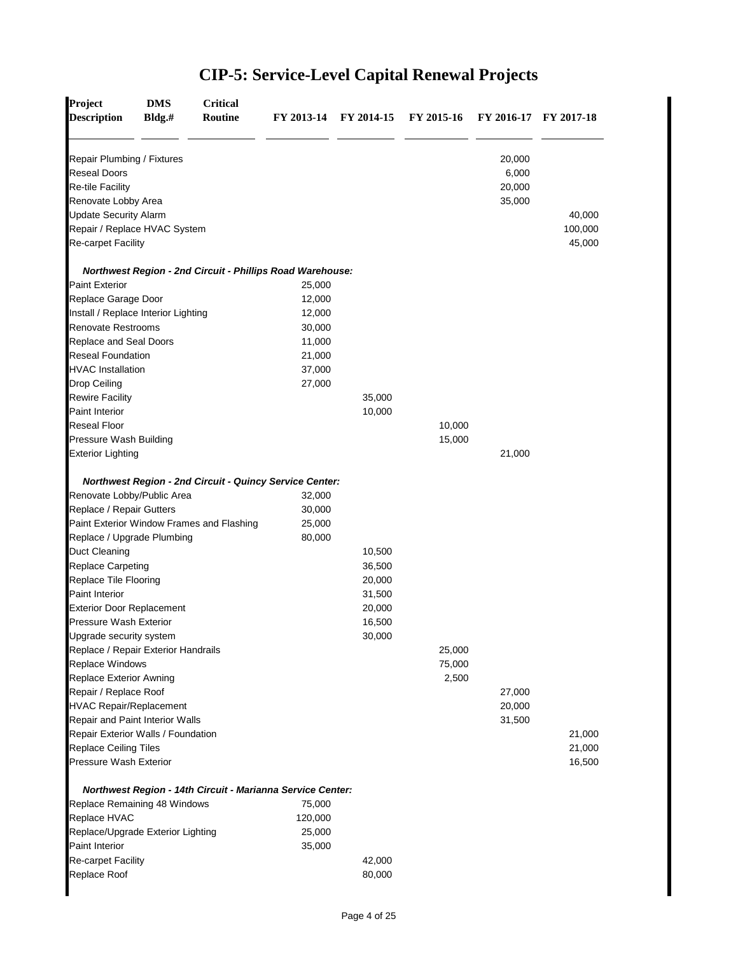| <b>Description</b>                                                                                  | Bldg.# | <b>Routine</b> | FY 2013-14                                                       | FY 2014-15 | FY 2015-16 | FY 2016-17 FY 2017-18               |         |
|-----------------------------------------------------------------------------------------------------|--------|----------------|------------------------------------------------------------------|------------|------------|-------------------------------------|---------|
| Repair Plumbing / Fixtures<br><b>Reseal Doors</b><br><b>Re-tile Facility</b><br>Renovate Lobby Area |        |                |                                                                  |            |            | 20,000<br>6,000<br>20,000<br>35,000 |         |
| <b>Update Security Alarm</b>                                                                        |        |                |                                                                  |            |            |                                     | 40,000  |
| Repair / Replace HVAC System                                                                        |        |                |                                                                  |            |            |                                     | 100,000 |
| Re-carpet Facility                                                                                  |        |                |                                                                  |            |            |                                     | 45,000  |
| <b>Paint Exterior</b>                                                                               |        |                | <b>Northwest Region - 2nd Circuit - Phillips Road Warehouse:</b> |            |            |                                     |         |
|                                                                                                     |        |                | 25,000<br>12,000                                                 |            |            |                                     |         |
| Replace Garage Door                                                                                 |        |                |                                                                  |            |            |                                     |         |
| Install / Replace Interior Lighting                                                                 |        |                | 12,000                                                           |            |            |                                     |         |
| <b>Renovate Restrooms</b>                                                                           |        |                | 30,000                                                           |            |            |                                     |         |
| Replace and Seal Doors                                                                              |        |                | 11,000                                                           |            |            |                                     |         |
| <b>Reseal Foundation</b>                                                                            |        |                | 21,000                                                           |            |            |                                     |         |
| <b>HVAC Installation</b>                                                                            |        |                | 37,000                                                           |            |            |                                     |         |
| Drop Ceiling                                                                                        |        |                | 27,000                                                           |            |            |                                     |         |
| <b>Rewire Facility</b>                                                                              |        |                |                                                                  | 35,000     |            |                                     |         |
| <b>Paint Interior</b>                                                                               |        |                |                                                                  | 10,000     |            |                                     |         |
| <b>Reseal Floor</b>                                                                                 |        |                |                                                                  |            | 10,000     |                                     |         |
| Pressure Wash Building                                                                              |        |                |                                                                  |            | 15,000     |                                     |         |
|                                                                                                     |        |                |                                                                  |            |            | 21,000                              |         |
| <b>Exterior Lighting</b>                                                                            |        |                |                                                                  |            |            |                                     |         |
|                                                                                                     |        |                | <b>Northwest Region - 2nd Circuit - Quincy Service Center:</b>   |            |            |                                     |         |
| Renovate Lobby/Public Area                                                                          |        |                | 32,000                                                           |            |            |                                     |         |
| Replace / Repair Gutters                                                                            |        |                | 30,000                                                           |            |            |                                     |         |
| Paint Exterior Window Frames and Flashing                                                           |        |                | 25,000                                                           |            |            |                                     |         |
| Replace / Upgrade Plumbing                                                                          |        |                | 80,000                                                           |            |            |                                     |         |
| <b>Duct Cleaning</b>                                                                                |        |                |                                                                  | 10,500     |            |                                     |         |
| Replace Carpeting                                                                                   |        |                |                                                                  | 36,500     |            |                                     |         |
| Replace Tile Flooring                                                                               |        |                |                                                                  | 20,000     |            |                                     |         |
| Paint Interior                                                                                      |        |                |                                                                  | 31,500     |            |                                     |         |
| <b>Exterior Door Replacement</b>                                                                    |        |                |                                                                  | 20,000     |            |                                     |         |
| Pressure Wash Exterior                                                                              |        |                |                                                                  | 16,500     |            |                                     |         |
| Upgrade security system                                                                             |        |                |                                                                  | 30,000     |            |                                     |         |
| Replace / Repair Exterior Handrails                                                                 |        |                |                                                                  |            | 25,000     |                                     |         |
| Replace Windows                                                                                     |        |                |                                                                  |            | 75,000     |                                     |         |
| Replace Exterior Awning                                                                             |        |                |                                                                  |            | 2,500      |                                     |         |
| Repair / Replace Roof                                                                               |        |                |                                                                  |            |            | 27,000                              |         |
| <b>HVAC Repair/Replacement</b>                                                                      |        |                |                                                                  |            |            | 20,000                              |         |
| Repair and Paint Interior Walls                                                                     |        |                |                                                                  |            |            | 31,500                              |         |
| Repair Exterior Walls / Foundation                                                                  |        |                |                                                                  |            |            |                                     | 21,000  |
| Replace Ceiling Tiles                                                                               |        |                |                                                                  |            |            |                                     | 21,000  |
| Pressure Wash Exterior                                                                              |        |                |                                                                  |            |            |                                     | 16,500  |
|                                                                                                     |        |                | Northwest Region - 14th Circuit - Marianna Service Center:       |            |            |                                     |         |
| Replace Remaining 48 Windows                                                                        |        |                | 75,000                                                           |            |            |                                     |         |
| Replace HVAC                                                                                        |        |                | 120,000                                                          |            |            |                                     |         |
| Replace/Upgrade Exterior Lighting                                                                   |        |                | 25,000                                                           |            |            |                                     |         |
| Paint Interior                                                                                      |        |                | 35,000                                                           |            |            |                                     |         |
| Re-carpet Facility<br>Replace Roof                                                                  |        |                |                                                                  | 42,000     |            |                                     |         |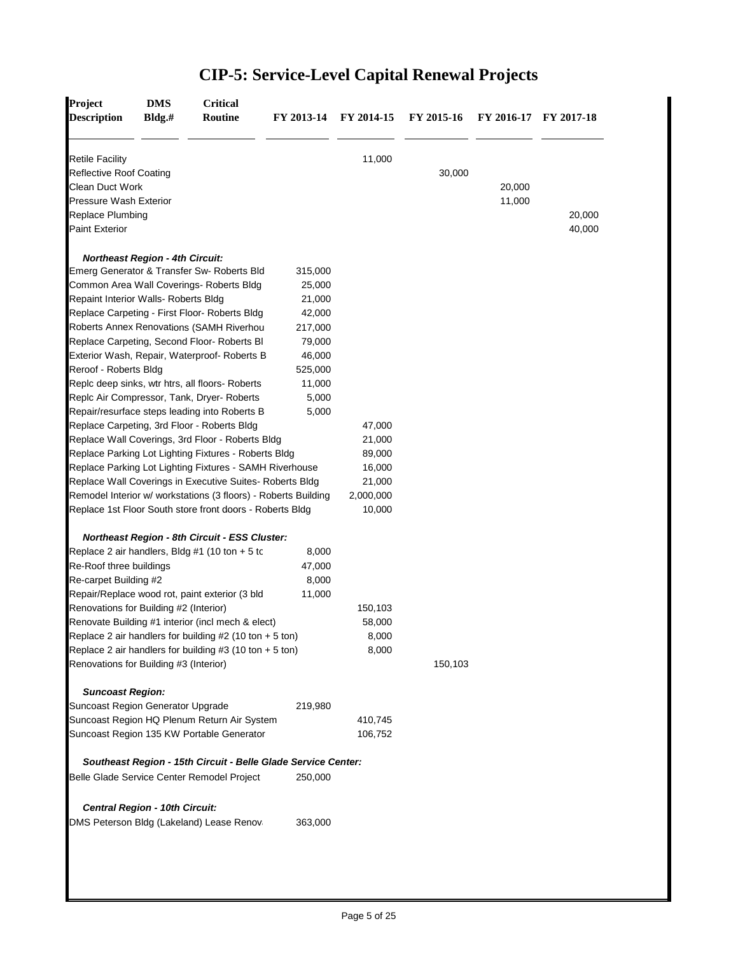| <b>Description</b>                          | Bldg.# | Routine                                                        | FY 2013-14 | FY 2014-15 | FY 2015-16 |        | FY 2016-17 FY 2017-18 |
|---------------------------------------------|--------|----------------------------------------------------------------|------------|------------|------------|--------|-----------------------|
| <b>Retile Facility</b>                      |        |                                                                |            | 11,000     |            |        |                       |
| <b>Reflective Roof Coating</b>              |        |                                                                |            |            | 30,000     |        |                       |
| Clean Duct Work                             |        |                                                                |            |            |            | 20,000 |                       |
| Pressure Wash Exterior                      |        |                                                                |            |            |            | 11,000 |                       |
| Replace Plumbing                            |        |                                                                |            |            |            |        | 20,000                |
| <b>Paint Exterior</b>                       |        |                                                                |            |            |            |        | 40,000                |
| <b>Northeast Region - 4th Circuit:</b>      |        |                                                                |            |            |            |        |                       |
|                                             |        | Emerg Generator & Transfer Sw- Roberts Bld                     | 315,000    |            |            |        |                       |
|                                             |        | Common Area Wall Coverings- Roberts Bldg                       | 25,000     |            |            |        |                       |
| Repaint Interior Walls- Roberts Bldg        |        |                                                                | 21,000     |            |            |        |                       |
|                                             |        | Replace Carpeting - First Floor- Roberts Bldg                  | 42,000     |            |            |        |                       |
|                                             |        | Roberts Annex Renovations (SAMH Riverhou                       | 217,000    |            |            |        |                       |
|                                             |        | Replace Carpeting, Second Floor- Roberts Bl                    | 79,000     |            |            |        |                       |
|                                             |        | Exterior Wash, Repair, Waterproof- Roberts B                   | 46,000     |            |            |        |                       |
| Reroof - Roberts Bldg                       |        |                                                                | 525,000    |            |            |        |                       |
|                                             |        | Replc deep sinks, wtr htrs, all floors- Roberts                | 11,000     |            |            |        |                       |
|                                             |        | Replc Air Compressor, Tank, Dryer-Roberts                      | 5,000      |            |            |        |                       |
|                                             |        | Repair/resurface steps leading into Roberts B                  | 5,000      |            |            |        |                       |
| Replace Carpeting, 3rd Floor - Roberts Bldg |        |                                                                |            | 47,000     |            |        |                       |
|                                             |        | Replace Wall Coverings, 3rd Floor - Roberts Bldg               |            | 21,000     |            |        |                       |
|                                             |        | Replace Parking Lot Lighting Fixtures - Roberts Bldg           |            | 89,000     |            |        |                       |
|                                             |        | Replace Parking Lot Lighting Fixtures - SAMH Riverhouse        |            | 16,000     |            |        |                       |
|                                             |        | Replace Wall Coverings in Executive Suites- Roberts Bldg       |            | 21,000     |            |        |                       |
|                                             |        | Remodel Interior w/ workstations (3 floors) - Roberts Building |            | 2,000,000  |            |        |                       |
|                                             |        | Replace 1st Floor South store front doors - Roberts Bldg       |            | 10,000     |            |        |                       |
|                                             |        | <b>Northeast Region - 8th Circuit - ESS Cluster:</b>           |            |            |            |        |                       |
|                                             |        | Replace 2 air handlers, Bldg #1 (10 ton $+5$ to                | 8,000      |            |            |        |                       |
| Re-Roof three buildings                     |        |                                                                | 47,000     |            |            |        |                       |
| Re-carpet Building #2                       |        |                                                                | 8,000      |            |            |        |                       |
|                                             |        | Repair/Replace wood rot, paint exterior (3 bld                 | 11,000     |            |            |        |                       |
| Renovations for Building #2 (Interior)      |        |                                                                |            | 150,103    |            |        |                       |
|                                             |        | Renovate Building #1 interior (incl mech & elect)              |            | 58,000     |            |        |                       |
|                                             |        | Replace 2 air handlers for building $#2$ (10 ton $+5$ ton)     |            | 8,000      |            |        |                       |
|                                             |        | Replace 2 air handlers for building #3 (10 ton $+ 5$ ton)      |            | 8,000      |            |        |                       |
| Renovations for Building #3 (Interior)      |        |                                                                |            |            | 150,103    |        |                       |
| <b>Suncoast Region:</b>                     |        |                                                                |            |            |            |        |                       |
| Suncoast Region Generator Upgrade           |        |                                                                | 219,980    |            |            |        |                       |
|                                             |        | Suncoast Region HQ Plenum Return Air System                    |            | 410,745    |            |        |                       |
|                                             |        | Suncoast Region 135 KW Portable Generator                      |            | 106,752    |            |        |                       |
|                                             |        | Southeast Region - 15th Circuit - Belle Glade Service Center:  |            |            |            |        |                       |
|                                             |        | Belle Glade Service Center Remodel Project                     | 250,000    |            |            |        |                       |
| Central Region - 10th Circuit:              |        |                                                                |            |            |            |        |                       |
|                                             |        | DMS Peterson Bldg (Lakeland) Lease Renovi                      | 363,000    |            |            |        |                       |
|                                             |        |                                                                |            |            |            |        |                       |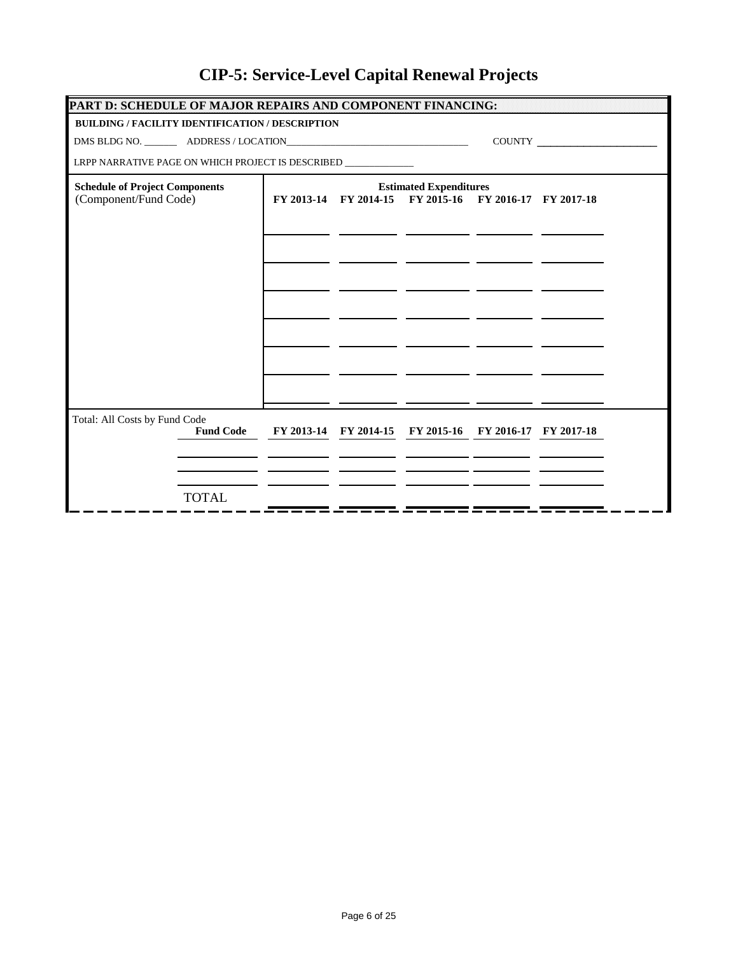| PART D: SCHEDULE OF MAJOR REPAIRS AND COMPONENT FINANCING:      |                               |  |                                                        |  |                                                                                                                                                                                                                                                                                                                                                                                             |  |  |  |  |
|-----------------------------------------------------------------|-------------------------------|--|--------------------------------------------------------|--|---------------------------------------------------------------------------------------------------------------------------------------------------------------------------------------------------------------------------------------------------------------------------------------------------------------------------------------------------------------------------------------------|--|--|--|--|
| <b>BUILDING / FACILITY IDENTIFICATION / DESCRIPTION</b>         |                               |  |                                                        |  |                                                                                                                                                                                                                                                                                                                                                                                             |  |  |  |  |
|                                                                 |                               |  |                                                        |  | $\begin{picture}(150,10) \put(0,0){\dashbox{0.5}(10,0){ }} \put(15,0){\circle{10}} \put(15,0){\circle{10}} \put(15,0){\circle{10}} \put(15,0){\circle{10}} \put(15,0){\circle{10}} \put(15,0){\circle{10}} \put(15,0){\circle{10}} \put(15,0){\circle{10}} \put(15,0){\circle{10}} \put(15,0){\circle{10}} \put(15,0){\circle{10}} \put(15,0){\circle{10}} \put(15,0){\circle{10}} \put(15$ |  |  |  |  |
| LRPP NARRATIVE PAGE ON WHICH PROJECT IS DESCRIBED _____________ |                               |  |                                                        |  |                                                                                                                                                                                                                                                                                                                                                                                             |  |  |  |  |
| <b>Schedule of Project Components</b>                           | <b>Estimated Expenditures</b> |  |                                                        |  |                                                                                                                                                                                                                                                                                                                                                                                             |  |  |  |  |
| (Component/Fund Code)                                           |                               |  | FY 2013-14 FY 2014-15 FY 2015-16 FY 2016-17 FY 2017-18 |  |                                                                                                                                                                                                                                                                                                                                                                                             |  |  |  |  |
|                                                                 |                               |  |                                                        |  |                                                                                                                                                                                                                                                                                                                                                                                             |  |  |  |  |
|                                                                 |                               |  |                                                        |  |                                                                                                                                                                                                                                                                                                                                                                                             |  |  |  |  |
|                                                                 |                               |  |                                                        |  |                                                                                                                                                                                                                                                                                                                                                                                             |  |  |  |  |
|                                                                 |                               |  |                                                        |  |                                                                                                                                                                                                                                                                                                                                                                                             |  |  |  |  |
|                                                                 |                               |  |                                                        |  |                                                                                                                                                                                                                                                                                                                                                                                             |  |  |  |  |
|                                                                 |                               |  |                                                        |  |                                                                                                                                                                                                                                                                                                                                                                                             |  |  |  |  |
|                                                                 |                               |  |                                                        |  |                                                                                                                                                                                                                                                                                                                                                                                             |  |  |  |  |
|                                                                 |                               |  |                                                        |  |                                                                                                                                                                                                                                                                                                                                                                                             |  |  |  |  |
|                                                                 |                               |  |                                                        |  |                                                                                                                                                                                                                                                                                                                                                                                             |  |  |  |  |
|                                                                 |                               |  |                                                        |  |                                                                                                                                                                                                                                                                                                                                                                                             |  |  |  |  |
| Total: All Costs by Fund Code                                   |                               |  |                                                        |  |                                                                                                                                                                                                                                                                                                                                                                                             |  |  |  |  |
| <b>Fund Code</b>                                                |                               |  | FY 2013-14 FY 2014-15 FY 2015-16 FY 2016-17 FY 2017-18 |  |                                                                                                                                                                                                                                                                                                                                                                                             |  |  |  |  |
|                                                                 |                               |  |                                                        |  |                                                                                                                                                                                                                                                                                                                                                                                             |  |  |  |  |
|                                                                 |                               |  |                                                        |  |                                                                                                                                                                                                                                                                                                                                                                                             |  |  |  |  |
| <b>TOTAL</b>                                                    |                               |  |                                                        |  |                                                                                                                                                                                                                                                                                                                                                                                             |  |  |  |  |
|                                                                 |                               |  |                                                        |  |                                                                                                                                                                                                                                                                                                                                                                                             |  |  |  |  |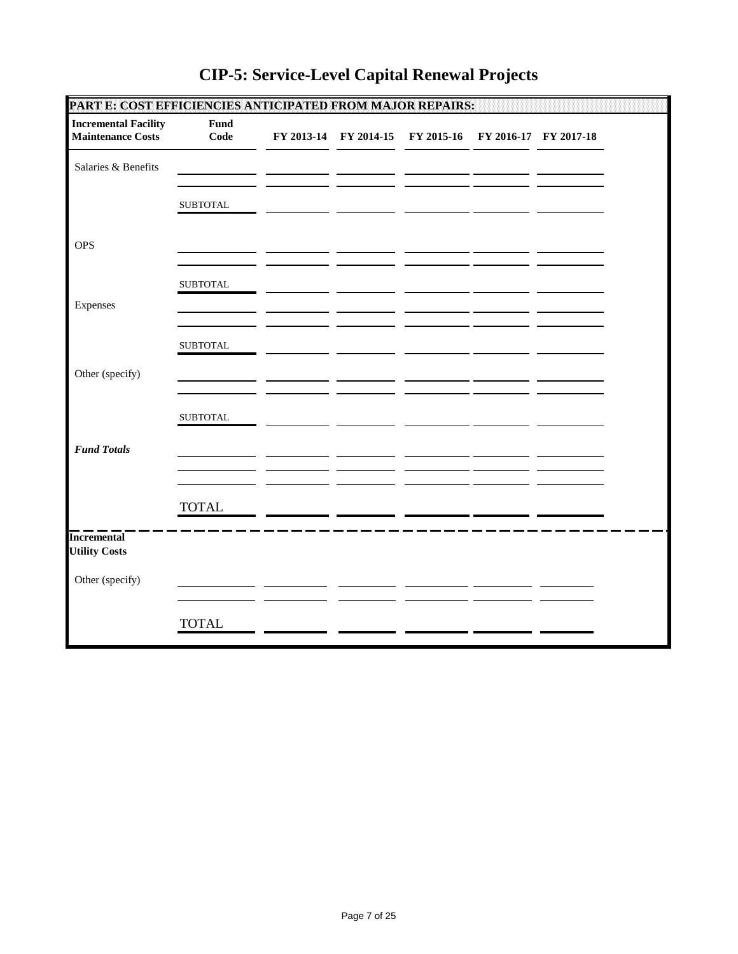| PART E: COST EFFICIENCIES ANTICIPATED FROM MAJOR REPAIRS: |                  |  |                                                        |  |  |
|-----------------------------------------------------------|------------------|--|--------------------------------------------------------|--|--|
| <b>Incremental Facility</b><br><b>Maintenance Costs</b>   | Fund<br>Code     |  | FY 2013-14 FY 2014-15 FY 2015-16 FY 2016-17 FY 2017-18 |  |  |
| Salaries & Benefits                                       |                  |  |                                                        |  |  |
|                                                           | ${\tt SUBTOTAL}$ |  |                                                        |  |  |
| <b>OPS</b>                                                |                  |  |                                                        |  |  |
|                                                           | ${\tt SUBTOTAL}$ |  |                                                        |  |  |
| Expenses                                                  |                  |  |                                                        |  |  |
|                                                           | ${\tt SUBTOTAL}$ |  |                                                        |  |  |
| Other (specify)                                           |                  |  |                                                        |  |  |
|                                                           | <b>SUBTOTAL</b>  |  |                                                        |  |  |
| <b>Fund Totals</b>                                        |                  |  |                                                        |  |  |
|                                                           | <b>TOTAL</b>     |  |                                                        |  |  |
| <b>Incremental</b><br><b>Utility Costs</b>                |                  |  |                                                        |  |  |
| Other (specify)                                           |                  |  |                                                        |  |  |
|                                                           | <b>TOTAL</b>     |  |                                                        |  |  |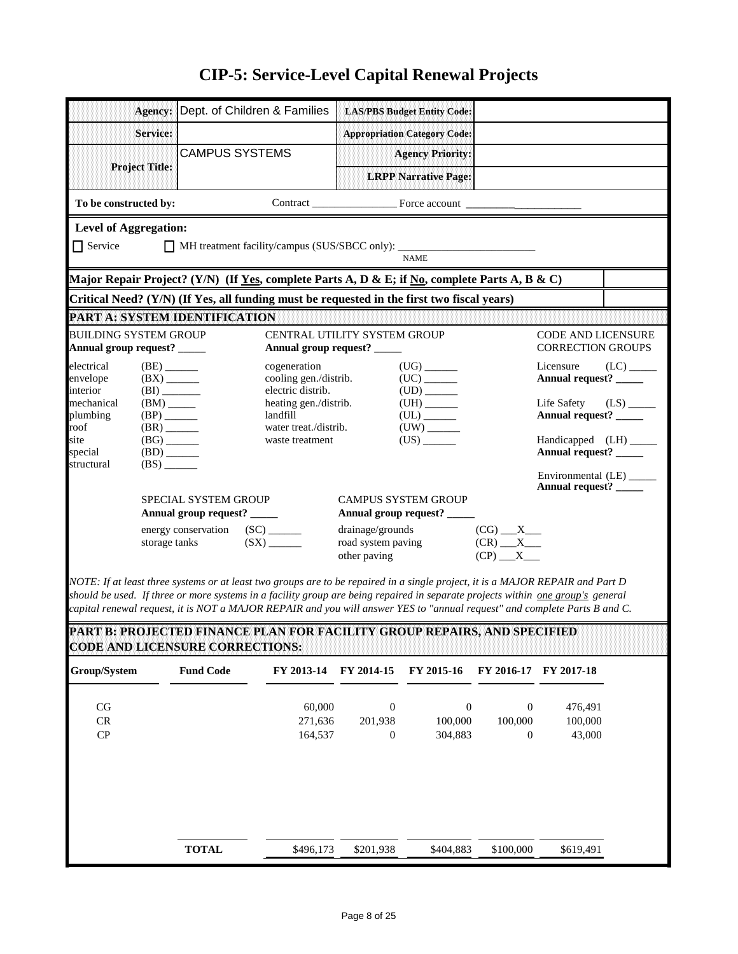|                                                                                     | Agency:                                                                         | Dept. of Children & Families                                                                                                                                                                                                                                                                                                                                                                   |                                                             |                                                        | <b>LAS/PBS Budget Entity Code:</b>                             |                                                 |                                                       |                         |  |  |  |
|-------------------------------------------------------------------------------------|---------------------------------------------------------------------------------|------------------------------------------------------------------------------------------------------------------------------------------------------------------------------------------------------------------------------------------------------------------------------------------------------------------------------------------------------------------------------------------------|-------------------------------------------------------------|--------------------------------------------------------|----------------------------------------------------------------|-------------------------------------------------|-------------------------------------------------------|-------------------------|--|--|--|
|                                                                                     | Service:                                                                        |                                                                                                                                                                                                                                                                                                                                                                                                |                                                             |                                                        | <b>Appropriation Category Code:</b>                            |                                                 |                                                       |                         |  |  |  |
|                                                                                     |                                                                                 | <b>CAMPUS SYSTEMS</b>                                                                                                                                                                                                                                                                                                                                                                          |                                                             |                                                        | <b>Agency Priority:</b>                                        |                                                 |                                                       |                         |  |  |  |
| <b>Project Title:</b>                                                               |                                                                                 |                                                                                                                                                                                                                                                                                                                                                                                                |                                                             |                                                        | <b>LRPP Narrative Page:</b>                                    |                                                 |                                                       |                         |  |  |  |
| To be constructed by:                                                               |                                                                                 |                                                                                                                                                                                                                                                                                                                                                                                                |                                                             |                                                        |                                                                |                                                 |                                                       |                         |  |  |  |
| <b>Level of Aggregation:</b>                                                        |                                                                                 |                                                                                                                                                                                                                                                                                                                                                                                                |                                                             |                                                        |                                                                |                                                 |                                                       |                         |  |  |  |
| $\Box$ Service<br>MH treatment facility/campus (SUS/SBCC only): ____<br><b>NAME</b> |                                                                                 |                                                                                                                                                                                                                                                                                                                                                                                                |                                                             |                                                        |                                                                |                                                 |                                                       |                         |  |  |  |
|                                                                                     |                                                                                 | Major Repair Project? (Y/N) (If <u>Yes,</u> complete Parts A, D & E; if <u>No</u> , complete Parts A, B & C)                                                                                                                                                                                                                                                                                   |                                                             |                                                        |                                                                |                                                 |                                                       |                         |  |  |  |
|                                                                                     |                                                                                 | Critical Need? (Y/N) (If Yes, all funding must be requested in the first two fiscal years)                                                                                                                                                                                                                                                                                                     |                                                             |                                                        |                                                                |                                                 |                                                       |                         |  |  |  |
|                                                                                     |                                                                                 | <b>PART A: SYSTEM IDENTIFICATION</b>                                                                                                                                                                                                                                                                                                                                                           |                                                             |                                                        |                                                                |                                                 |                                                       |                         |  |  |  |
| <b>BUILDING SYSTEM GROUP</b><br>Annual group request? _____                         |                                                                                 |                                                                                                                                                                                                                                                                                                                                                                                                | CENTRAL UTILITY SYSTEM GROUP<br>Annual group request? _____ |                                                        |                                                                |                                                 | <b>CODE AND LICENSURE</b><br><b>CORRECTION GROUPS</b> |                         |  |  |  |
| electrical<br>envelope<br>interior                                                  | $(BE)$ <sub>_______</sub><br>$(BX)$ <sub>_____</sub><br>(BI)                    |                                                                                                                                                                                                                                                                                                                                                                                                | cogeneration<br>cooling gen./distrib.<br>electric distrib.  |                                                        | $(UG)$ <sub>_______</sub><br>(UC)<br>$(UD)$ <sub>_______</sub> |                                                 | Licensure<br>Annual request? _____                    | $(LC)$ <sub>_____</sub> |  |  |  |
| mechanical<br>plumbing<br>roof                                                      | $(BM)$ <sub>_____</sub><br>$(BP)$ <sub>______</sub><br>$(BR)$ <sub>______</sub> |                                                                                                                                                                                                                                                                                                                                                                                                | heating gen./distrib.<br>landfill<br>water treat./distrib.  |                                                        | $(UL)$ <sub>______</sub>                                       |                                                 | Life Safety<br>Annual request? ____                   | $(LS)$ <sub>_____</sub> |  |  |  |
| site<br>special<br>structural                                                       | $(BG)$ <sub>______</sub><br>$(BD)$ <sub>______</sub><br>(BS)                    |                                                                                                                                                                                                                                                                                                                                                                                                | waste treatment                                             |                                                        | (US)                                                           |                                                 | Handicapped (LH) _____<br>Annual request? _____       |                         |  |  |  |
|                                                                                     |                                                                                 |                                                                                                                                                                                                                                                                                                                                                                                                |                                                             |                                                        |                                                                |                                                 | Environmental (LE) _____<br>Annual request? _____     |                         |  |  |  |
|                                                                                     |                                                                                 | SPECIAL SYSTEM GROUP<br>Annual group request? _____                                                                                                                                                                                                                                                                                                                                            |                                                             |                                                        | <b>CAMPUS SYSTEM GROUP</b><br>Annual group request? _____      |                                                 |                                                       |                         |  |  |  |
|                                                                                     | storage tanks                                                                   | energy conservation (SC) ______                                                                                                                                                                                                                                                                                                                                                                | $(SX)$ <sub>______</sub>                                    | drainage/grounds<br>road system paving<br>other paving |                                                                | $(CG)$ $X$<br>$(CR)$ $X$<br>$(CP)$ $X$          |                                                       |                         |  |  |  |
|                                                                                     |                                                                                 | NOTE: If at least three systems or at least two groups are to be repaired in a single project, it is a MAJOR REPAIR and Part D<br>should be used. If three or more systems in a facility group are being repaired in separate projects within one group's general<br>capital renewal request, it is NOT a MAJOR REPAIR and you will answer YES to "annual request" and complete Parts B and C. |                                                             |                                                        |                                                                |                                                 |                                                       |                         |  |  |  |
|                                                                                     |                                                                                 | PART B: PROJECTED FINANCE PLAN FOR FACILITY GROUP REPAIRS, AND SPECIFIED<br><b>CODE AND LICENSURE CORRECTIONS:</b>                                                                                                                                                                                                                                                                             |                                                             |                                                        |                                                                |                                                 |                                                       |                         |  |  |  |
| Group/System                                                                        |                                                                                 | <b>Fund Code</b>                                                                                                                                                                                                                                                                                                                                                                               | FY 2013-14                                                  | FY 2014-15                                             | FY 2015-16                                                     | FY 2016-17                                      | FY 2017-18                                            |                         |  |  |  |
| CG<br>${\sf CR}$<br>CP                                                              |                                                                                 |                                                                                                                                                                                                                                                                                                                                                                                                | 60,000<br>271,636<br>164,537                                | $\boldsymbol{0}$<br>201,938<br>$\boldsymbol{0}$        | $\boldsymbol{0}$<br>100,000<br>304,883                         | $\boldsymbol{0}$<br>100,000<br>$\boldsymbol{0}$ | 476,491<br>100,000<br>43,000                          |                         |  |  |  |
|                                                                                     |                                                                                 |                                                                                                                                                                                                                                                                                                                                                                                                |                                                             |                                                        |                                                                |                                                 |                                                       |                         |  |  |  |

**TOTAL**  $\overline{\smash{\big)}\xrightarrow{8496,173}}$   $\overline{\smash{\big)}\xrightarrow{8201,938}}$   $\overline{\smash{\big)}\xrightarrow{8404,883}}$   $\overline{\smash{\big)}\xrightarrow{8100,000}}$   $\overline{\smash{\big)}\xrightarrow{8619,491}}$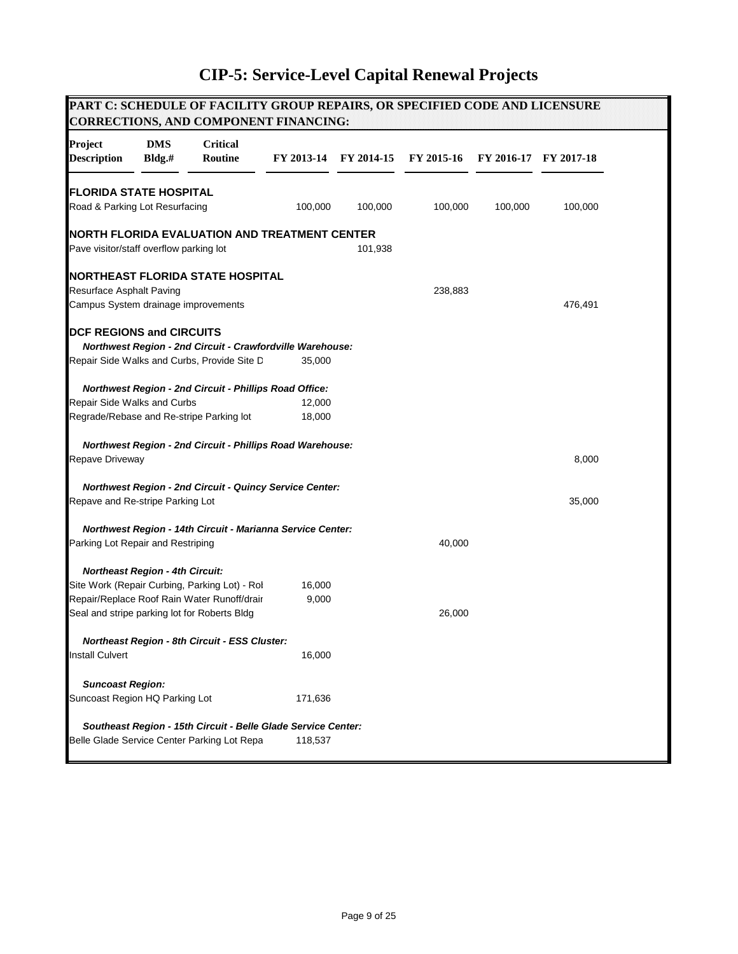#### **PART C: SCHEDULE OF FACILITY GROUP REPAIRS, OR SPECIFIED CODE AND LICENSURE CORRECTIONS, AND COMPONENT FINANCING: Project DMS Critical Description Bldg.# Routine FY 2013-14 FY 2014-15 FY 2015-16 FY 2016-17 FY 2017-18 FLORIDA STATE HOSPITAL** Road & Parking Lot Resurfacing 100,000 100,000 100,000 100,000 100,000 **NORTH FLORIDA EVALUATION AND TREATMENT CENTER** Pave visitor/staff overflow parking lot 101,938 **NORTHEAST FLORIDA STATE HOSPITAL** Resurface Asphalt Paving 238,883 Campus System drainage improvements 476,491 **DCF REGIONS and CIRCUITS**  *Northwest Region - 2nd Circuit - Crawfordville Warehouse:* Repair Side Walks and Curbs, Provide Site D 35,000  *Northwest Region - 2nd Circuit - Phillips Road Office:* Repair Side Walks and Curbs 12,000 Regrade/Rebase and Re-stripe Parking lot 18,000  *Northwest Region - 2nd Circuit - Phillips Road Warehouse:* Repave Driveway 8,000 and the state of the state of the state of the state of the state of the state of the state of the state of the state of the state of the state of the state of the state of the state of the state of t  *Northwest Region - 2nd Circuit - Quincy Service Center:* Repave and Re-stripe Parking Lot 35,000  *Northwest Region - 14th Circuit - Marianna Service Center:* Parking Lot Repair and Restriping 10 and 100 and 100 and 100 and 100 and 100 and 100 and 100 and 100 and 100 and 100 and 100 and 100 and 100 and 100 and 100 and 100 and 100 and 100 and 100 and 100 and 100 and 100 and 100 a  *Northeast Region - 4th Circuit:* Site Work (Repair Curbing, Parking Lot) - Rol 16,000 Repair/Replace Roof Rain Water Runoff/drair 9,000 Seal and stripe parking lot for Roberts Bldg 26,000  *Northeast Region - 8th Circuit - ESS Cluster:* Install Culvert 16,000  *Suncoast Region:* Suncoast Region HQ Parking Lot 171,636  *Southeast Region - 15th Circuit - Belle Glade Service Center:* Belle Glade Service Center Parking Lot Repa 118,537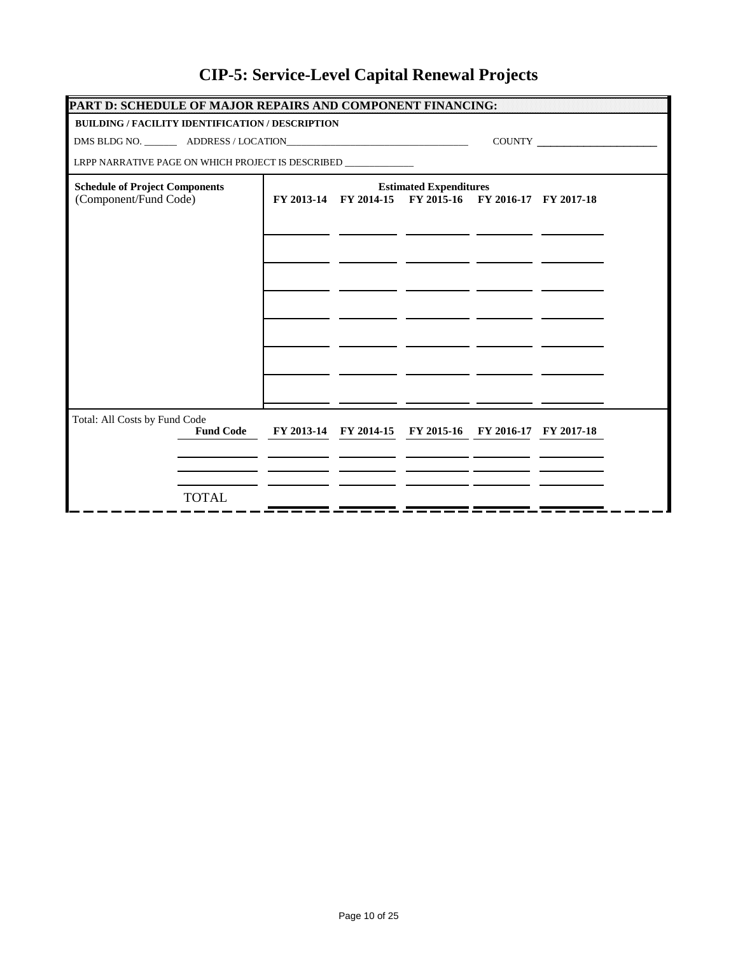| PART D: SCHEDULE OF MAJOR REPAIRS AND COMPONENT FINANCING:                                                                                                                                                                                                                                                                                                                                  |  |  |                                                        |  |  |  |  |  |  |
|---------------------------------------------------------------------------------------------------------------------------------------------------------------------------------------------------------------------------------------------------------------------------------------------------------------------------------------------------------------------------------------------|--|--|--------------------------------------------------------|--|--|--|--|--|--|
| <b>BUILDING / FACILITY IDENTIFICATION / DESCRIPTION</b>                                                                                                                                                                                                                                                                                                                                     |  |  |                                                        |  |  |  |  |  |  |
| $\begin{picture}(150,10) \put(0,0){\dashbox{0.5}(10,0){ }} \put(15,0){\circle{10}} \put(15,0){\circle{10}} \put(15,0){\circle{10}} \put(15,0){\circle{10}} \put(15,0){\circle{10}} \put(15,0){\circle{10}} \put(15,0){\circle{10}} \put(15,0){\circle{10}} \put(15,0){\circle{10}} \put(15,0){\circle{10}} \put(15,0){\circle{10}} \put(15,0){\circle{10}} \put(15,0){\circle{10}} \put(15$ |  |  |                                                        |  |  |  |  |  |  |
| LRPP NARRATIVE PAGE ON WHICH PROJECT IS DESCRIBED _____________                                                                                                                                                                                                                                                                                                                             |  |  |                                                        |  |  |  |  |  |  |
| <b>Schedule of Project Components</b>                                                                                                                                                                                                                                                                                                                                                       |  |  | <b>Estimated Expenditures</b>                          |  |  |  |  |  |  |
| (Component/Fund Code)                                                                                                                                                                                                                                                                                                                                                                       |  |  | FY 2013-14 FY 2014-15 FY 2015-16 FY 2016-17 FY 2017-18 |  |  |  |  |  |  |
|                                                                                                                                                                                                                                                                                                                                                                                             |  |  |                                                        |  |  |  |  |  |  |
|                                                                                                                                                                                                                                                                                                                                                                                             |  |  |                                                        |  |  |  |  |  |  |
|                                                                                                                                                                                                                                                                                                                                                                                             |  |  |                                                        |  |  |  |  |  |  |
|                                                                                                                                                                                                                                                                                                                                                                                             |  |  |                                                        |  |  |  |  |  |  |
|                                                                                                                                                                                                                                                                                                                                                                                             |  |  |                                                        |  |  |  |  |  |  |
|                                                                                                                                                                                                                                                                                                                                                                                             |  |  |                                                        |  |  |  |  |  |  |
|                                                                                                                                                                                                                                                                                                                                                                                             |  |  |                                                        |  |  |  |  |  |  |
|                                                                                                                                                                                                                                                                                                                                                                                             |  |  |                                                        |  |  |  |  |  |  |
|                                                                                                                                                                                                                                                                                                                                                                                             |  |  |                                                        |  |  |  |  |  |  |
|                                                                                                                                                                                                                                                                                                                                                                                             |  |  |                                                        |  |  |  |  |  |  |
|                                                                                                                                                                                                                                                                                                                                                                                             |  |  |                                                        |  |  |  |  |  |  |
| Total: All Costs by Fund Code<br><b>Fund Code</b>                                                                                                                                                                                                                                                                                                                                           |  |  | FY 2013-14 FY 2014-15 FY 2015-16 FY 2016-17 FY 2017-18 |  |  |  |  |  |  |
|                                                                                                                                                                                                                                                                                                                                                                                             |  |  |                                                        |  |  |  |  |  |  |
|                                                                                                                                                                                                                                                                                                                                                                                             |  |  |                                                        |  |  |  |  |  |  |
|                                                                                                                                                                                                                                                                                                                                                                                             |  |  |                                                        |  |  |  |  |  |  |
| <b>TOTAL</b>                                                                                                                                                                                                                                                                                                                                                                                |  |  |                                                        |  |  |  |  |  |  |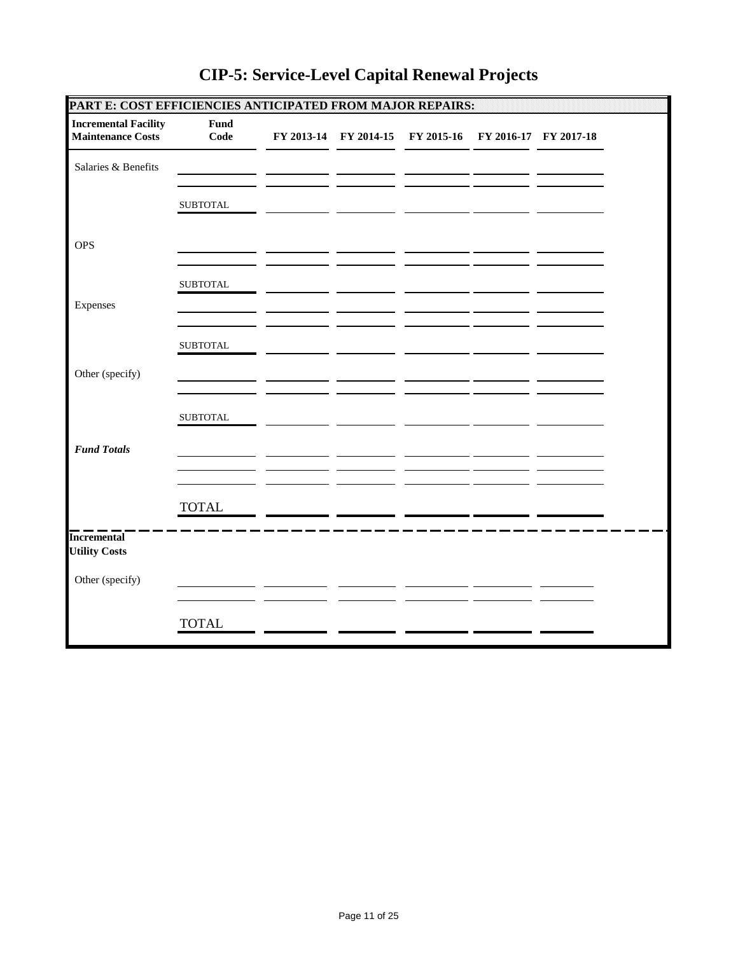| PART E: COST EFFICIENCIES ANTICIPATED FROM MAJOR REPAIRS: |                 |  |                                                        |  |  |
|-----------------------------------------------------------|-----------------|--|--------------------------------------------------------|--|--|
| <b>Incremental Facility</b><br><b>Maintenance Costs</b>   | Fund<br>Code    |  | FY 2013-14 FY 2014-15 FY 2015-16 FY 2016-17 FY 2017-18 |  |  |
| Salaries & Benefits                                       |                 |  |                                                        |  |  |
|                                                           | <b>SUBTOTAL</b> |  |                                                        |  |  |
| <b>OPS</b>                                                |                 |  |                                                        |  |  |
|                                                           | <b>SUBTOTAL</b> |  |                                                        |  |  |
| Expenses                                                  |                 |  |                                                        |  |  |
|                                                           | <b>SUBTOTAL</b> |  |                                                        |  |  |
| Other (specify)                                           |                 |  |                                                        |  |  |
|                                                           | <b>SUBTOTAL</b> |  |                                                        |  |  |
| <b>Fund Totals</b>                                        |                 |  |                                                        |  |  |
|                                                           | <b>TOTAL</b>    |  |                                                        |  |  |
| <b>Incremental</b><br><b>Utility Costs</b>                |                 |  |                                                        |  |  |
| Other (specify)                                           |                 |  |                                                        |  |  |
|                                                           | <b>TOTAL</b>    |  |                                                        |  |  |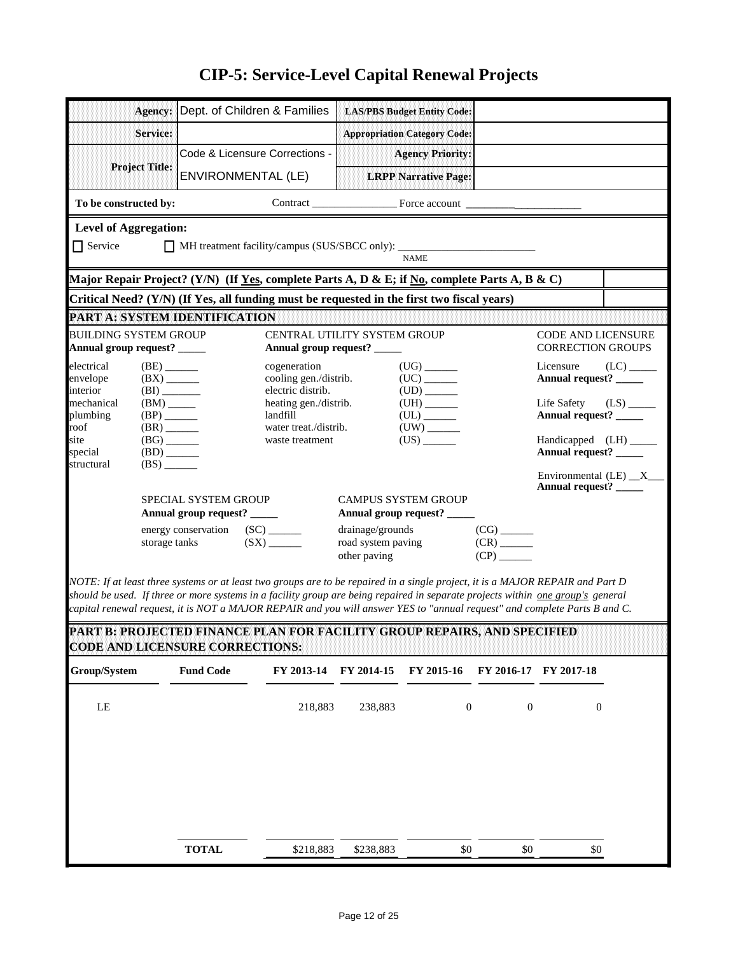| Agency:                                                                                                                                                                                                                                                                                                                                                                                               | Dept. of Children & Families                                   |                                                            |                    | <b>LAS/PBS Budget Entity Code:</b>      |                          |                                                  |                        |  |  |  |  |
|-------------------------------------------------------------------------------------------------------------------------------------------------------------------------------------------------------------------------------------------------------------------------------------------------------------------------------------------------------------------------------------------------------|----------------------------------------------------------------|------------------------------------------------------------|--------------------|-----------------------------------------|--------------------------|--------------------------------------------------|------------------------|--|--|--|--|
| Service:                                                                                                                                                                                                                                                                                                                                                                                              |                                                                |                                                            |                    | <b>Appropriation Category Code:</b>     |                          |                                                  |                        |  |  |  |  |
| <b>Project Title:</b>                                                                                                                                                                                                                                                                                                                                                                                 | Code & Licensure Corrections -                                 |                                                            |                    | <b>Agency Priority:</b>                 |                          |                                                  |                        |  |  |  |  |
|                                                                                                                                                                                                                                                                                                                                                                                                       | <b>ENVIRONMENTAL (LE)</b>                                      |                                                            |                    | <b>LRPP Narrative Page:</b>             |                          |                                                  |                        |  |  |  |  |
| To be constructed by:                                                                                                                                                                                                                                                                                                                                                                                 |                                                                |                                                            |                    |                                         |                          |                                                  |                        |  |  |  |  |
| <b>Level of Aggregation:</b>                                                                                                                                                                                                                                                                                                                                                                          |                                                                |                                                            |                    |                                         |                          |                                                  |                        |  |  |  |  |
| $\Box$ Service<br>MH treatment facility/campus (SUS/SBCC only): _____                                                                                                                                                                                                                                                                                                                                 |                                                                |                                                            |                    |                                         |                          |                                                  |                        |  |  |  |  |
| <b>NAME</b><br>Major Repair Project? (Y/N)  (If <u>Yes,</u> complete Parts A, D & E; if <u>No</u> , complete Parts A, B & C)                                                                                                                                                                                                                                                                          |                                                                |                                                            |                    |                                         |                          |                                                  |                        |  |  |  |  |
| Critical Need? (Y/N) (If Yes, all funding must be requested in the first two fiscal years)                                                                                                                                                                                                                                                                                                            |                                                                |                                                            |                    |                                         |                          |                                                  |                        |  |  |  |  |
| PART A: SYSTEM IDENTIFICATION                                                                                                                                                                                                                                                                                                                                                                         |                                                                |                                                            |                    |                                         |                          |                                                  |                        |  |  |  |  |
| <b>BUILDING SYSTEM GROUP</b>                                                                                                                                                                                                                                                                                                                                                                          |                                                                | <b>CENTRAL UTILITY SYSTEM GROUP</b>                        |                    |                                         |                          | <b>CODE AND LICENSURE</b>                        |                        |  |  |  |  |
| Annual group request? _____                                                                                                                                                                                                                                                                                                                                                                           |                                                                | Annual group request? _____                                |                    |                                         |                          | <b>CORRECTION GROUPS</b>                         |                        |  |  |  |  |
| electrical<br>$(BE)$ <sub>_______</sub><br>envelope<br>$(BX)$ <sub>______</sub><br>interior                                                                                                                                                                                                                                                                                                           |                                                                | cogeneration<br>cooling gen./distrib.<br>electric distrib. |                    | $(UG)$ <sub>_______</sub>               |                          | Licensure<br>Annual request? _____               |                        |  |  |  |  |
| (BI)<br>mechanical<br>$(BM)$ <sub>______</sub><br>$(BP)$ <sub>_______</sub><br>plumbing                                                                                                                                                                                                                                                                                                               |                                                                | heating gen./distrib.<br>landfill                          |                    | ${\rm (UL)} \xrightarrow{\phantom{aa}}$ |                          | Life Safety<br>Annual request? ____              | $(LS)$ <sub>____</sub> |  |  |  |  |
| roof<br>$(BR)$ <sub>______</sub><br>site<br>$(BG)$ <sub>______</sub><br>special<br>$(BD)$ <sub>_____</sub>                                                                                                                                                                                                                                                                                            |                                                                | water treat./distrib.<br>waste treatment                   |                    | $(US)$ <sub>________</sub>              |                          | Handicapped (LH) ______<br>Annual request? _____ |                        |  |  |  |  |
| structural<br>(BS)                                                                                                                                                                                                                                                                                                                                                                                    |                                                                |                                                            |                    |                                         |                          |                                                  |                        |  |  |  |  |
|                                                                                                                                                                                                                                                                                                                                                                                                       | SPECIAL SYSTEM GROUP                                           |                                                            |                    | <b>CAMPUS SYSTEM GROUP</b>              |                          | Annual request?                                  |                        |  |  |  |  |
|                                                                                                                                                                                                                                                                                                                                                                                                       | Annual group request? _____<br>energy conservation (SC) ______ |                                                            | drainage/grounds   | Annual group request? _____             | $(CG)$ <sub>______</sub> |                                                  |                        |  |  |  |  |
| storage tanks                                                                                                                                                                                                                                                                                                                                                                                         |                                                                | $(SX)$ <sub>_____</sub>                                    | road system paving |                                         | $(CR)$ <sub>______</sub> |                                                  |                        |  |  |  |  |
|                                                                                                                                                                                                                                                                                                                                                                                                       |                                                                |                                                            | other paving       |                                         | $(CP)$ <sub>______</sub> |                                                  |                        |  |  |  |  |
| NOTE: If at least three systems or at least two groups are to be repaired in a single project, it is a MAJOR REPAIR and Part D<br>should be used. If three or more systems in a facility group are being repaired in separate projects within <u>one group's</u> general<br>capital renewal request, it is NOT a MAJOR REPAIR and you will answer YES to "annual request" and complete Parts B and C. |                                                                |                                                            |                    |                                         |                          |                                                  |                        |  |  |  |  |
| <b>PART B: PROJECTED FINANCE PLAN FOR FACILITY GROUP REPAIRS. AND SPECIFIED</b>                                                                                                                                                                                                                                                                                                                       |                                                                |                                                            |                    |                                         |                          |                                                  |                        |  |  |  |  |
| <b>CODE AND LICENSURE CORRECTIONS:</b>                                                                                                                                                                                                                                                                                                                                                                |                                                                |                                                            |                    |                                         |                          |                                                  |                        |  |  |  |  |
| Group/System                                                                                                                                                                                                                                                                                                                                                                                          | <b>Fund Code</b>                                               | FY 2013-14                                                 | FY 2014-15         | FY 2015-16                              |                          | FY 2016-17 FY 2017-18                            |                        |  |  |  |  |
| $\rm LE$                                                                                                                                                                                                                                                                                                                                                                                              |                                                                | 218,883                                                    | 238,883            | $\boldsymbol{0}$                        | $\boldsymbol{0}$         | $\boldsymbol{0}$                                 |                        |  |  |  |  |
|                                                                                                                                                                                                                                                                                                                                                                                                       |                                                                |                                                            |                    |                                         |                          |                                                  |                        |  |  |  |  |
|                                                                                                                                                                                                                                                                                                                                                                                                       |                                                                |                                                            |                    |                                         |                          |                                                  |                        |  |  |  |  |
|                                                                                                                                                                                                                                                                                                                                                                                                       |                                                                |                                                            |                    |                                         |                          |                                                  |                        |  |  |  |  |
|                                                                                                                                                                                                                                                                                                                                                                                                       |                                                                |                                                            |                    |                                         |                          |                                                  |                        |  |  |  |  |
|                                                                                                                                                                                                                                                                                                                                                                                                       |                                                                |                                                            |                    |                                         |                          |                                                  |                        |  |  |  |  |
|                                                                                                                                                                                                                                                                                                                                                                                                       | <b>TOTAL</b>                                                   | \$218,883                                                  | \$238,883          | \$0                                     | $\$0$                    | $\$0$                                            |                        |  |  |  |  |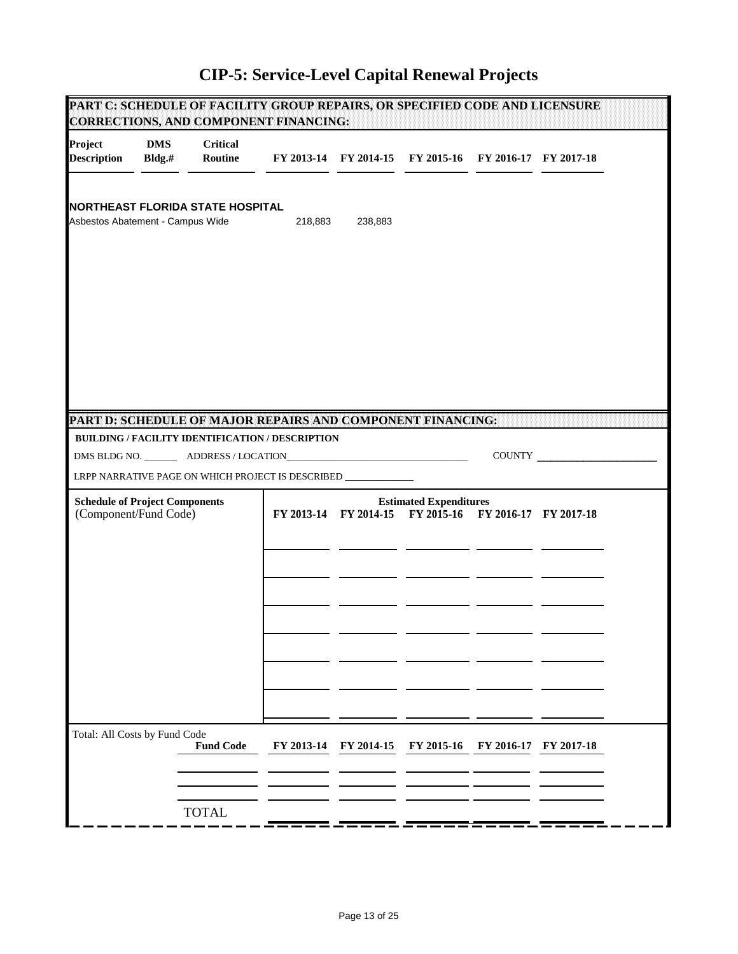|                                                                             |                         | PART C: SCHEDULE OF FACILITY GROUP REPAIRS, OR SPECIFIED CODE AND LICENSURE<br><b>CORRECTIONS, AND COMPONENT FINANCING:</b> |            |            |                                                        |            |            |  |
|-----------------------------------------------------------------------------|-------------------------|-----------------------------------------------------------------------------------------------------------------------------|------------|------------|--------------------------------------------------------|------------|------------|--|
| Project<br><b>Description</b>                                               | <b>DMS</b><br>$Bldg$ .# | <b>Critical</b><br>Routine                                                                                                  |            |            | FY 2013-14 FY 2014-15 FY 2015-16 FY 2016-17 FY 2017-18 |            |            |  |
| <b>NORTHEAST FLORIDA STATE HOSPITAL</b><br>Asbestos Abatement - Campus Wide |                         | 218,883                                                                                                                     | 238,883    |            |                                                        |            |            |  |
|                                                                             |                         |                                                                                                                             |            |            |                                                        |            |            |  |
|                                                                             |                         | PART D: SCHEDULE OF MAJOR REPAIRS AND COMPONENT FINANCING:<br>BUILDING / FACILITY IDENTIFICATION / DESCRIPTION              |            |            |                                                        |            |            |  |
|                                                                             |                         |                                                                                                                             |            |            |                                                        |            | COUNTY     |  |
| <b>Schedule of Project Components</b>                                       |                         | LRPP NARRATIVE PAGE ON WHICH PROJECT IS DESCRIBED _____________                                                             |            |            | <b>Estimated Expenditures</b>                          |            |            |  |
| (Component/Fund Code)                                                       |                         |                                                                                                                             |            |            | FY 2013-14 FY 2014-15 FY 2015-16 FY 2016-17 FY 2017-18 |            |            |  |
|                                                                             |                         |                                                                                                                             |            |            |                                                        |            |            |  |
|                                                                             |                         |                                                                                                                             |            |            |                                                        |            |            |  |
|                                                                             |                         |                                                                                                                             |            |            |                                                        |            |            |  |
|                                                                             |                         |                                                                                                                             |            |            |                                                        |            |            |  |
|                                                                             |                         |                                                                                                                             |            |            |                                                        |            |            |  |
|                                                                             |                         |                                                                                                                             |            |            |                                                        |            |            |  |
| Total: All Costs by Fund Code                                               |                         | <b>Fund Code</b>                                                                                                            | FY 2013-14 | FY 2014-15 | FY 2015-16                                             | FY 2016-17 | FY 2017-18 |  |
|                                                                             |                         |                                                                                                                             |            |            |                                                        |            |            |  |
|                                                                             |                         | <b>TOTAL</b>                                                                                                                |            |            |                                                        |            |            |  |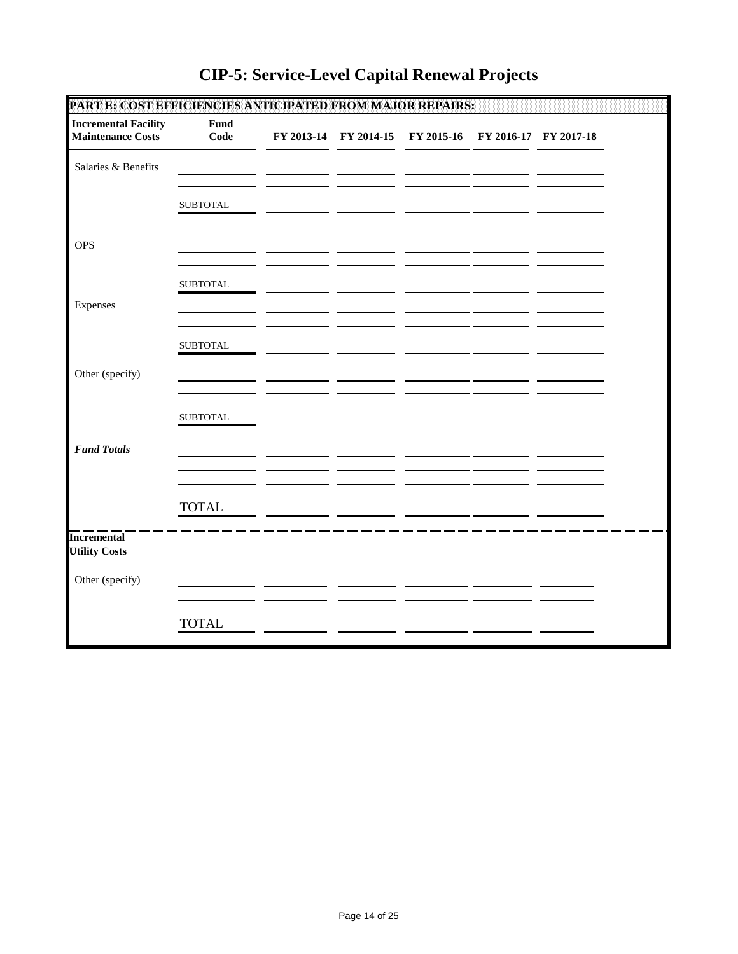| PART E: COST EFFICIENCIES ANTICIPATED FROM MAJOR REPAIRS: |                 |  |                                                        |  |  |
|-----------------------------------------------------------|-----------------|--|--------------------------------------------------------|--|--|
| <b>Incremental Facility</b><br><b>Maintenance Costs</b>   | Fund<br>Code    |  | FY 2013-14 FY 2014-15 FY 2015-16 FY 2016-17 FY 2017-18 |  |  |
| Salaries & Benefits                                       |                 |  |                                                        |  |  |
|                                                           | <b>SUBTOTAL</b> |  |                                                        |  |  |
| <b>OPS</b>                                                |                 |  |                                                        |  |  |
|                                                           | <b>SUBTOTAL</b> |  |                                                        |  |  |
| Expenses                                                  |                 |  |                                                        |  |  |
|                                                           | <b>SUBTOTAL</b> |  |                                                        |  |  |
| Other (specify)                                           |                 |  |                                                        |  |  |
|                                                           | <b>SUBTOTAL</b> |  |                                                        |  |  |
| <b>Fund Totals</b>                                        |                 |  |                                                        |  |  |
|                                                           | <b>TOTAL</b>    |  |                                                        |  |  |
| <b>Incremental</b><br><b>Utility Costs</b>                |                 |  |                                                        |  |  |
| Other (specify)                                           |                 |  |                                                        |  |  |
|                                                           | <b>TOTAL</b>    |  |                                                        |  |  |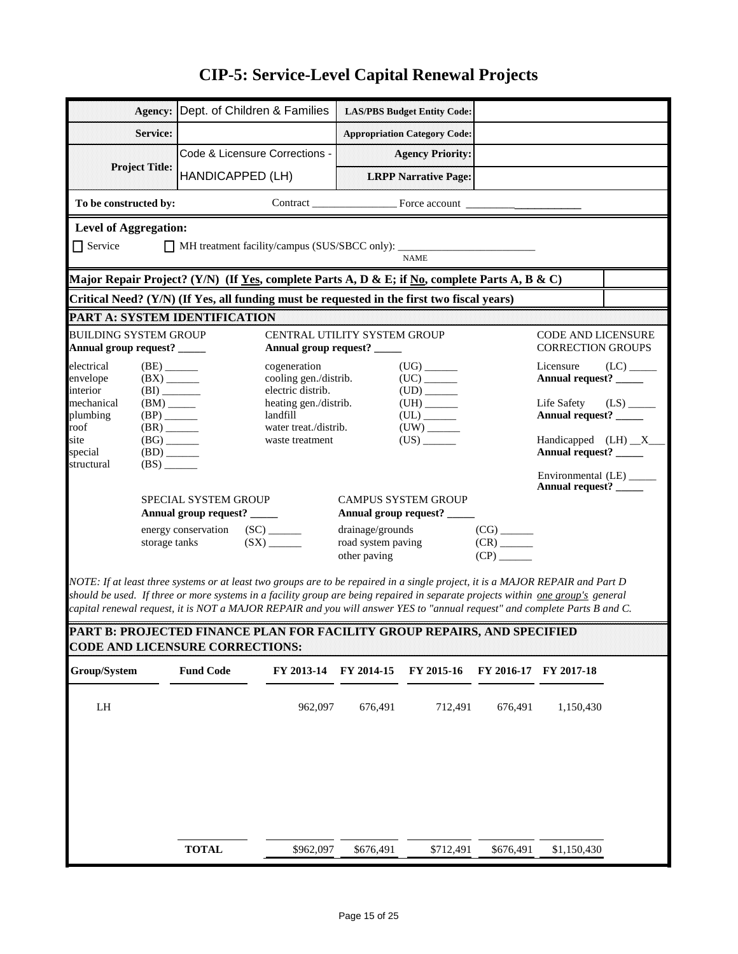|                                        | Agency:                                              |                                                     | Dept. of Children & Families                                                                                                                                                                                                                                      |                                    | <b>LAS/PBS Budget Entity Code:</b>                        |                                                      |                                                 |                         |  |  |  |
|----------------------------------------|------------------------------------------------------|-----------------------------------------------------|-------------------------------------------------------------------------------------------------------------------------------------------------------------------------------------------------------------------------------------------------------------------|------------------------------------|-----------------------------------------------------------|------------------------------------------------------|-------------------------------------------------|-------------------------|--|--|--|
|                                        |                                                      |                                                     |                                                                                                                                                                                                                                                                   |                                    |                                                           |                                                      |                                                 |                         |  |  |  |
|                                        | Service:                                             |                                                     |                                                                                                                                                                                                                                                                   |                                    | <b>Appropriation Category Code:</b>                       |                                                      |                                                 |                         |  |  |  |
| <b>Project Title:</b>                  |                                                      |                                                     | Code & Licensure Corrections -                                                                                                                                                                                                                                    |                                    | <b>Agency Priority:</b>                                   |                                                      |                                                 |                         |  |  |  |
|                                        |                                                      | HANDICAPPED (LH)                                    |                                                                                                                                                                                                                                                                   |                                    | <b>LRPP Narrative Page:</b>                               |                                                      |                                                 |                         |  |  |  |
| To be constructed by:                  |                                                      |                                                     |                                                                                                                                                                                                                                                                   |                                    |                                                           |                                                      |                                                 |                         |  |  |  |
| <b>Level of Aggregation:</b>           |                                                      |                                                     |                                                                                                                                                                                                                                                                   |                                    |                                                           |                                                      |                                                 |                         |  |  |  |
| $\Box$ Service                         | MH treatment facility/campus (SUS/SBCC only): _____  |                                                     |                                                                                                                                                                                                                                                                   |                                    |                                                           |                                                      |                                                 |                         |  |  |  |
|                                        |                                                      |                                                     |                                                                                                                                                                                                                                                                   |                                    | <b>NAME</b>                                               |                                                      |                                                 |                         |  |  |  |
|                                        |                                                      |                                                     | Major Repair Project? (Y/N) (If <u>Yes,</u> complete Parts A, D & E; if <u>No</u> , complete Parts A, B & C)                                                                                                                                                      |                                    |                                                           |                                                      |                                                 |                         |  |  |  |
| <b>PART A: SYSTEM IDENTIFICATION</b>   |                                                      |                                                     | Critical Need? (Y/N) (If Yes, all funding must be requested in the first two fiscal years)                                                                                                                                                                        |                                    |                                                           |                                                      |                                                 |                         |  |  |  |
| <b>BUILDING SYSTEM GROUP</b>           |                                                      |                                                     | CENTRAL UTILITY SYSTEM GROUP                                                                                                                                                                                                                                      |                                    |                                                           |                                                      | <b>CODE AND LICENSURE</b>                       |                         |  |  |  |
| Annual group request? _____            |                                                      |                                                     | Annual group request? _____                                                                                                                                                                                                                                       |                                    |                                                           |                                                      | <b>CORRECTION GROUPS</b>                        |                         |  |  |  |
| electrical                             | $(BE)$ <sub>________</sub>                           |                                                     | cogeneration                                                                                                                                                                                                                                                      |                                    | $(UG)$ <sub>________</sub>                                |                                                      | Licensure                                       | (LC)                    |  |  |  |
| envelope<br>interior                   | $(BX)$ <sub>______</sub><br>(BI)                     |                                                     | cooling gen./distrib.<br>electric distrib.                                                                                                                                                                                                                        |                                    |                                                           |                                                      | Annual request? _____                           |                         |  |  |  |
| mechanical<br>plumbing                 | $(BM)$ <sub>_____</sub><br>$(BP)$ <sub>______</sub>  |                                                     | heating gen./distrib.<br>landfill                                                                                                                                                                                                                                 |                                    | $(UL)$ <sub>_______</sub>                                 |                                                      | Life Safety<br>Annual request? _____            | $(LS)$ <sub>_____</sub> |  |  |  |
| roof                                   | $(BR)$ <sub>_______</sub>                            |                                                     | water treat./distrib.                                                                                                                                                                                                                                             |                                    |                                                           |                                                      |                                                 |                         |  |  |  |
| site<br>special                        | $(BG)$ <sub>______</sub><br>$(BD)$ <sub>______</sub> |                                                     | waste treatment                                                                                                                                                                                                                                                   |                                    | $(US)$ <sub>______</sub>                                  |                                                      | Handicapped $(LH)$ $X$<br>Annual request? _____ |                         |  |  |  |
| structural                             | $(BS)$ <sub>_____</sub>                              |                                                     |                                                                                                                                                                                                                                                                   |                                    |                                                           |                                                      | Environmental (LE) _____                        |                         |  |  |  |
|                                        |                                                      |                                                     |                                                                                                                                                                                                                                                                   |                                    |                                                           |                                                      | Annual request? _____                           |                         |  |  |  |
|                                        |                                                      | SPECIAL SYSTEM GROUP<br>Annual group request? _____ |                                                                                                                                                                                                                                                                   |                                    | <b>CAMPUS SYSTEM GROUP</b><br>Annual group request? _____ |                                                      |                                                 |                         |  |  |  |
|                                        |                                                      | energy conservation (SC) ______                     |                                                                                                                                                                                                                                                                   | drainage/grounds                   |                                                           | $(CG)$ <sub>_______</sub>                            |                                                 |                         |  |  |  |
|                                        | storage tanks                                        |                                                     | $(SX)$ <sub>______</sub>                                                                                                                                                                                                                                          | road system paving<br>other paving |                                                           | $(CR)$ <sub>______</sub><br>$(CP)$ <sub>______</sub> |                                                 |                         |  |  |  |
|                                        |                                                      |                                                     |                                                                                                                                                                                                                                                                   |                                    |                                                           |                                                      |                                                 |                         |  |  |  |
|                                        |                                                      |                                                     | NOTE: If at least three systems or at least two groups are to be repaired in a single project, it is a MAJOR REPAIR and Part D<br>should be used. If three or more systems in a facility group are being repaired in separate projects within one group's general |                                    |                                                           |                                                      |                                                 |                         |  |  |  |
|                                        |                                                      |                                                     | capital renewal request, it is NOT a MAJOR REPAIR and you will answer YES to "annual request" and complete Parts B and C.                                                                                                                                         |                                    |                                                           |                                                      |                                                 |                         |  |  |  |
|                                        |                                                      |                                                     | PART B: PROJECTED FINANCE PLAN FOR FACILITY GROUP REPAIRS, AND SPECIFIED                                                                                                                                                                                          |                                    |                                                           |                                                      |                                                 |                         |  |  |  |
| <b>CODE AND LICENSURE CORRECTIONS:</b> |                                                      |                                                     |                                                                                                                                                                                                                                                                   |                                    |                                                           |                                                      |                                                 |                         |  |  |  |
| Group/System                           |                                                      | <b>Fund Code</b>                                    | FY 2013-14                                                                                                                                                                                                                                                        | FY 2014-15                         | FY 2015-16                                                | FY 2016-17                                           | FY 2017-18                                      |                         |  |  |  |
| ${\rm LH}$                             |                                                      |                                                     | 962,097                                                                                                                                                                                                                                                           | 676,491                            | 712,491                                                   | 676,491                                              | 1,150,430                                       |                         |  |  |  |
|                                        |                                                      |                                                     |                                                                                                                                                                                                                                                                   |                                    |                                                           |                                                      |                                                 |                         |  |  |  |
|                                        |                                                      |                                                     |                                                                                                                                                                                                                                                                   |                                    |                                                           |                                                      |                                                 |                         |  |  |  |
|                                        |                                                      |                                                     |                                                                                                                                                                                                                                                                   |                                    |                                                           |                                                      |                                                 |                         |  |  |  |
|                                        |                                                      |                                                     |                                                                                                                                                                                                                                                                   |                                    |                                                           |                                                      |                                                 |                         |  |  |  |
|                                        |                                                      |                                                     |                                                                                                                                                                                                                                                                   |                                    |                                                           |                                                      |                                                 |                         |  |  |  |
|                                        |                                                      |                                                     |                                                                                                                                                                                                                                                                   |                                    |                                                           |                                                      |                                                 |                         |  |  |  |
|                                        |                                                      | <b>TOTAL</b>                                        | \$962,097                                                                                                                                                                                                                                                         | \$676,491                          | \$712,491                                                 | \$676,491                                            | \$1,150,430                                     |                         |  |  |  |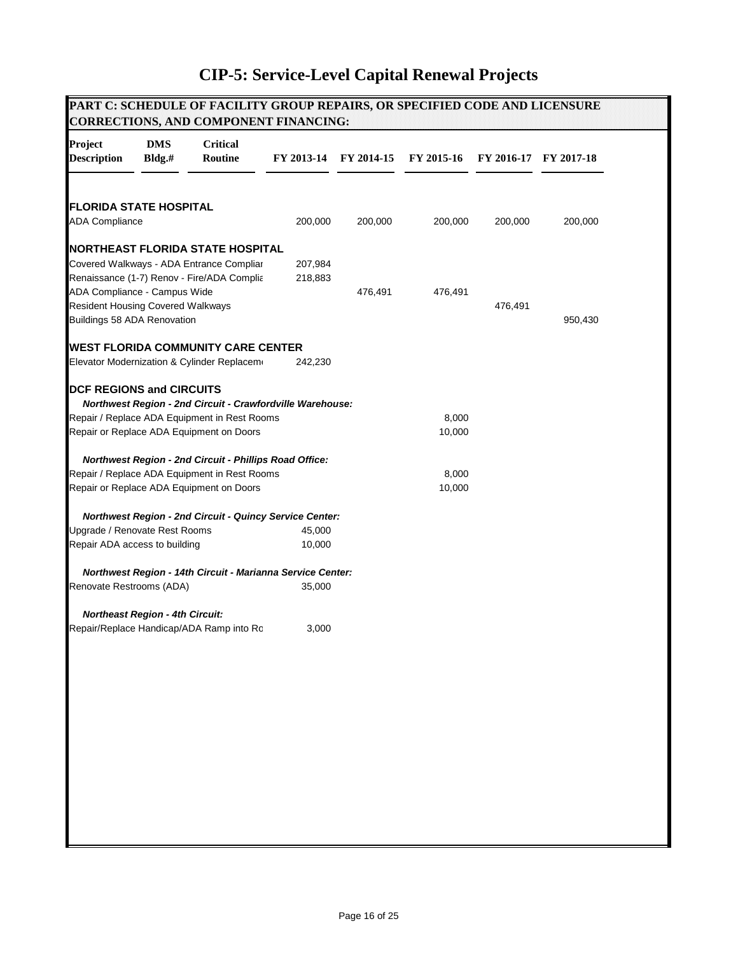|                                                        |                                        | PART C: SCHEDULE OF FACILITY GROUP REPAIRS, OR SPECIFIED CODE AND LICENSURE<br><b>CORRECTIONS, AND COMPONENT FINANCING:</b> |                    |            |            |         |                       |
|--------------------------------------------------------|----------------------------------------|-----------------------------------------------------------------------------------------------------------------------------|--------------------|------------|------------|---------|-----------------------|
| Project<br><b>Description</b>                          | <b>DMS</b><br>Bldg.#                   | <b>Critical</b><br>Routine                                                                                                  | FY 2013-14         | FY 2014-15 | FY 2015-16 |         | FY 2016-17 FY 2017-18 |
|                                                        |                                        |                                                                                                                             |                    |            |            |         |                       |
| <b>FLORIDA STATE HOSPITAL</b><br><b>ADA Compliance</b> |                                        |                                                                                                                             | 200,000            | 200,000    | 200,000    | 200,000 | 200,000               |
|                                                        |                                        | <b>INORTHEAST FLORIDA STATE HOSPITAL</b>                                                                                    |                    |            |            |         |                       |
|                                                        |                                        | Covered Walkways - ADA Entrance Compliar<br>Renaissance (1-7) Renov - Fire/ADA Complia                                      | 207,984<br>218,883 |            |            |         |                       |
| ADA Compliance - Campus Wide                           |                                        |                                                                                                                             |                    | 476,491    | 476,491    |         |                       |
| <b>Resident Housing Covered Walkways</b>               |                                        |                                                                                                                             |                    |            |            | 476,491 |                       |
| Buildings 58 ADA Renovation                            |                                        |                                                                                                                             |                    |            |            |         | 950,430               |
|                                                        |                                        | <b>WEST FLORIDA COMMUNITY CARE CENTER</b>                                                                                   |                    |            |            |         |                       |
|                                                        |                                        | Elevator Modernization & Cylinder Replaceme                                                                                 | 242,230            |            |            |         |                       |
| <b>DCF REGIONS and CIRCUITS</b>                        |                                        | Northwest Region - 2nd Circuit - Crawfordville Warehouse:                                                                   |                    |            |            |         |                       |
|                                                        |                                        | Repair / Replace ADA Equipment in Rest Rooms                                                                                |                    |            | 8,000      |         |                       |
|                                                        |                                        | Repair or Replace ADA Equipment on Doors                                                                                    |                    |            | 10,000     |         |                       |
|                                                        |                                        | Northwest Region - 2nd Circuit - Phillips Road Office:                                                                      |                    |            |            |         |                       |
|                                                        |                                        | Repair / Replace ADA Equipment in Rest Rooms                                                                                |                    |            | 8,000      |         |                       |
|                                                        |                                        | Repair or Replace ADA Equipment on Doors                                                                                    |                    |            | 10,000     |         |                       |
|                                                        |                                        | Northwest Region - 2nd Circuit - Quincy Service Center:                                                                     |                    |            |            |         |                       |
| Upgrade / Renovate Rest Rooms                          |                                        |                                                                                                                             | 45,000             |            |            |         |                       |
| Repair ADA access to building                          |                                        |                                                                                                                             | 10,000             |            |            |         |                       |
|                                                        |                                        | Northwest Region - 14th Circuit - Marianna Service Center:                                                                  |                    |            |            |         |                       |
| Renovate Restrooms (ADA)                               |                                        |                                                                                                                             | 35,000             |            |            |         |                       |
|                                                        | <b>Northeast Region - 4th Circuit:</b> |                                                                                                                             |                    |            |            |         |                       |
|                                                        |                                        | Repair/Replace Handicap/ADA Ramp into Ro                                                                                    | 3,000              |            |            |         |                       |
|                                                        |                                        |                                                                                                                             |                    |            |            |         |                       |
|                                                        |                                        |                                                                                                                             |                    |            |            |         |                       |
|                                                        |                                        |                                                                                                                             |                    |            |            |         |                       |
|                                                        |                                        |                                                                                                                             |                    |            |            |         |                       |
|                                                        |                                        |                                                                                                                             |                    |            |            |         |                       |
|                                                        |                                        |                                                                                                                             |                    |            |            |         |                       |
|                                                        |                                        |                                                                                                                             |                    |            |            |         |                       |
|                                                        |                                        |                                                                                                                             |                    |            |            |         |                       |
|                                                        |                                        |                                                                                                                             |                    |            |            |         |                       |
|                                                        |                                        |                                                                                                                             |                    |            |            |         |                       |
|                                                        |                                        |                                                                                                                             |                    |            |            |         |                       |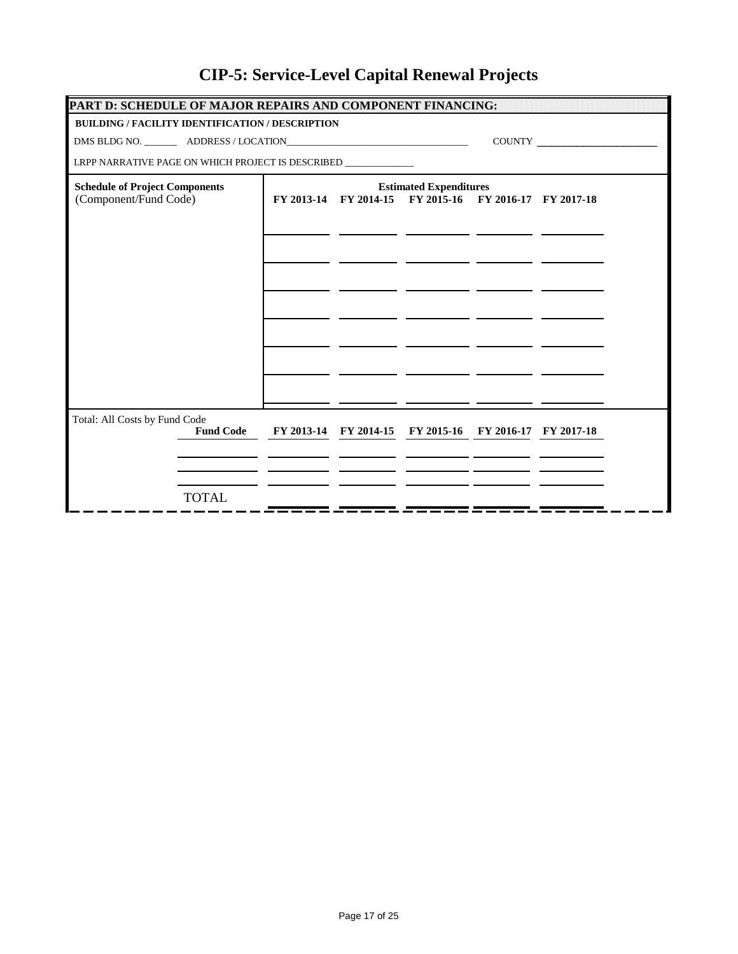| PART D: SCHEDULE OF MAJOR REPAIRS AND COMPONENT FINANCING:                        |                                                                                                                                                                                                                                                                                                                                                                                             |  |                                                        |  |  |  |  |  |
|-----------------------------------------------------------------------------------|---------------------------------------------------------------------------------------------------------------------------------------------------------------------------------------------------------------------------------------------------------------------------------------------------------------------------------------------------------------------------------------------|--|--------------------------------------------------------|--|--|--|--|--|
| <b>BUILDING / FACILITY IDENTIFICATION / DESCRIPTION</b>                           |                                                                                                                                                                                                                                                                                                                                                                                             |  |                                                        |  |  |  |  |  |
|                                                                                   | $\begin{picture}(150,10) \put(0,0){\dashbox{0.5}(10,0){ }} \put(15,0){\circle{10}} \put(15,0){\circle{10}} \put(15,0){\circle{10}} \put(15,0){\circle{10}} \put(15,0){\circle{10}} \put(15,0){\circle{10}} \put(15,0){\circle{10}} \put(15,0){\circle{10}} \put(15,0){\circle{10}} \put(15,0){\circle{10}} \put(15,0){\circle{10}} \put(15,0){\circle{10}} \put(15,0){\circle{10}} \put(15$ |  |                                                        |  |  |  |  |  |
| LRPP NARRATIVE PAGE ON WHICH PROJECT IS DESCRIBED _______________________________ |                                                                                                                                                                                                                                                                                                                                                                                             |  |                                                        |  |  |  |  |  |
| <b>Schedule of Project Components</b>                                             |                                                                                                                                                                                                                                                                                                                                                                                             |  | <b>Estimated Expenditures</b>                          |  |  |  |  |  |
| (Component/Fund Code)                                                             |                                                                                                                                                                                                                                                                                                                                                                                             |  | FY 2013-14 FY 2014-15 FY 2015-16 FY 2016-17 FY 2017-18 |  |  |  |  |  |
|                                                                                   |                                                                                                                                                                                                                                                                                                                                                                                             |  |                                                        |  |  |  |  |  |
|                                                                                   |                                                                                                                                                                                                                                                                                                                                                                                             |  |                                                        |  |  |  |  |  |
|                                                                                   |                                                                                                                                                                                                                                                                                                                                                                                             |  |                                                        |  |  |  |  |  |
|                                                                                   |                                                                                                                                                                                                                                                                                                                                                                                             |  |                                                        |  |  |  |  |  |
|                                                                                   |                                                                                                                                                                                                                                                                                                                                                                                             |  |                                                        |  |  |  |  |  |
|                                                                                   |                                                                                                                                                                                                                                                                                                                                                                                             |  |                                                        |  |  |  |  |  |
|                                                                                   |                                                                                                                                                                                                                                                                                                                                                                                             |  |                                                        |  |  |  |  |  |
|                                                                                   |                                                                                                                                                                                                                                                                                                                                                                                             |  |                                                        |  |  |  |  |  |
|                                                                                   |                                                                                                                                                                                                                                                                                                                                                                                             |  |                                                        |  |  |  |  |  |
|                                                                                   |                                                                                                                                                                                                                                                                                                                                                                                             |  |                                                        |  |  |  |  |  |
| Total: All Costs by Fund Code                                                     |                                                                                                                                                                                                                                                                                                                                                                                             |  |                                                        |  |  |  |  |  |
| <b>Fund Code</b>                                                                  |                                                                                                                                                                                                                                                                                                                                                                                             |  | FY 2013-14 FY 2014-15 FY 2015-16 FY 2016-17 FY 2017-18 |  |  |  |  |  |
|                                                                                   |                                                                                                                                                                                                                                                                                                                                                                                             |  |                                                        |  |  |  |  |  |
|                                                                                   |                                                                                                                                                                                                                                                                                                                                                                                             |  |                                                        |  |  |  |  |  |
| <b>TOTAL</b>                                                                      |                                                                                                                                                                                                                                                                                                                                                                                             |  |                                                        |  |  |  |  |  |
|                                                                                   |                                                                                                                                                                                                                                                                                                                                                                                             |  |                                                        |  |  |  |  |  |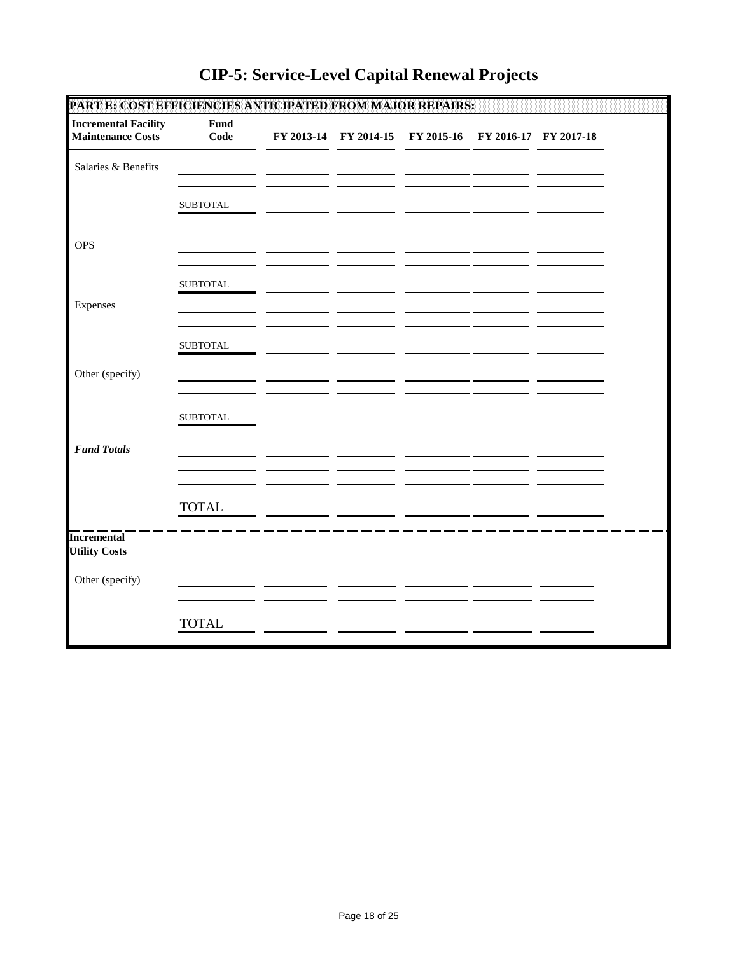| PART E: COST EFFICIENCIES ANTICIPATED FROM MAJOR REPAIRS: |                 |  |                                                        |  |  |
|-----------------------------------------------------------|-----------------|--|--------------------------------------------------------|--|--|
| <b>Incremental Facility</b><br><b>Maintenance Costs</b>   | Fund<br>Code    |  | FY 2013-14 FY 2014-15 FY 2015-16 FY 2016-17 FY 2017-18 |  |  |
| Salaries & Benefits                                       |                 |  |                                                        |  |  |
|                                                           | <b>SUBTOTAL</b> |  |                                                        |  |  |
| <b>OPS</b>                                                |                 |  |                                                        |  |  |
|                                                           | <b>SUBTOTAL</b> |  |                                                        |  |  |
| Expenses                                                  |                 |  |                                                        |  |  |
|                                                           | <b>SUBTOTAL</b> |  |                                                        |  |  |
| Other (specify)                                           |                 |  |                                                        |  |  |
|                                                           | <b>SUBTOTAL</b> |  |                                                        |  |  |
| <b>Fund Totals</b>                                        |                 |  |                                                        |  |  |
|                                                           | <b>TOTAL</b>    |  |                                                        |  |  |
| <b>Incremental</b><br><b>Utility Costs</b>                |                 |  |                                                        |  |  |
| Other (specify)                                           |                 |  |                                                        |  |  |
|                                                           | <b>TOTAL</b>    |  |                                                        |  |  |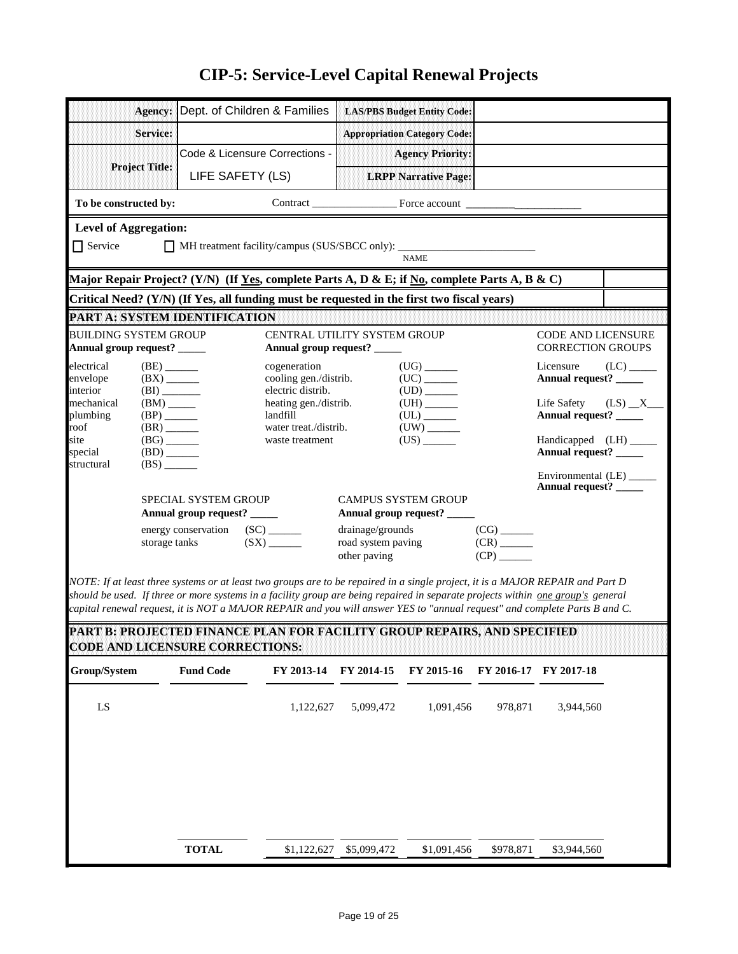| Agency:                                                                                                                                                                                                                                                           |                                                      |                                                     | Dept. of Children & Families               |                                    | <b>LAS/PBS Budget Entity Code:</b>                        |                                                      |                                                 |            |  |  |  |
|-------------------------------------------------------------------------------------------------------------------------------------------------------------------------------------------------------------------------------------------------------------------|------------------------------------------------------|-----------------------------------------------------|--------------------------------------------|------------------------------------|-----------------------------------------------------------|------------------------------------------------------|-------------------------------------------------|------------|--|--|--|
|                                                                                                                                                                                                                                                                   |                                                      |                                                     |                                            |                                    |                                                           |                                                      |                                                 |            |  |  |  |
| Service:                                                                                                                                                                                                                                                          |                                                      |                                                     |                                            |                                    | <b>Appropriation Category Code:</b>                       |                                                      |                                                 |            |  |  |  |
| <b>Project Title:</b>                                                                                                                                                                                                                                             |                                                      |                                                     | Code & Licensure Corrections -             |                                    | <b>Agency Priority:</b>                                   |                                                      |                                                 |            |  |  |  |
|                                                                                                                                                                                                                                                                   |                                                      | LIFE SAFETY (LS)                                    |                                            |                                    | <b>LRPP Narrative Page:</b>                               |                                                      |                                                 |            |  |  |  |
| To be constructed by:                                                                                                                                                                                                                                             |                                                      |                                                     |                                            |                                    |                                                           |                                                      |                                                 |            |  |  |  |
|                                                                                                                                                                                                                                                                   | <b>Level of Aggregation:</b>                         |                                                     |                                            |                                    |                                                           |                                                      |                                                 |            |  |  |  |
| $\Box$ Service<br>MH treatment facility/campus (SUS/SBCC only): ____                                                                                                                                                                                              |                                                      |                                                     |                                            |                                    |                                                           |                                                      |                                                 |            |  |  |  |
| <b>NAME</b>                                                                                                                                                                                                                                                       |                                                      |                                                     |                                            |                                    |                                                           |                                                      |                                                 |            |  |  |  |
| Major Repair Project? (Y/N) (If <u>Yes,</u> complete Parts A, D & E; if <u>No</u> , complete Parts A, B & C)<br>Critical Need? (Y/N) (If Yes, all funding must be requested in the first two fiscal years)                                                        |                                                      |                                                     |                                            |                                    |                                                           |                                                      |                                                 |            |  |  |  |
| <b>PART A: SYSTEM IDENTIFICATION</b>                                                                                                                                                                                                                              |                                                      |                                                     |                                            |                                    |                                                           |                                                      |                                                 |            |  |  |  |
| <b>BUILDING SYSTEM GROUP</b>                                                                                                                                                                                                                                      |                                                      |                                                     | CENTRAL UTILITY SYSTEM GROUP               |                                    |                                                           |                                                      | <b>CODE AND LICENSURE</b>                       |            |  |  |  |
| Annual group request? _____                                                                                                                                                                                                                                       |                                                      |                                                     | Annual group request? _____                |                                    |                                                           |                                                      | <b>CORRECTION GROUPS</b>                        |            |  |  |  |
| electrical                                                                                                                                                                                                                                                        | $(BE)$ <sub>_______</sub>                            |                                                     | cogeneration                               |                                    | $(UG)$ <sub>________</sub>                                |                                                      | Licensure                                       | (LC)       |  |  |  |
| envelope<br>interior                                                                                                                                                                                                                                              | $(BX)$ <sub>______</sub><br>(BI)                     |                                                     | cooling gen./distrib.<br>electric distrib. |                                    |                                                           |                                                      | Annual request? ____                            |            |  |  |  |
| mechanical<br>plumbing                                                                                                                                                                                                                                            | $(BM)$ <sub>_____</sub><br>$(BP)$ <sub>______</sub>  |                                                     | heating gen./distrib.<br>landfill          |                                    | $(UL)$ <sub>_______</sub>                                 |                                                      | Life Safety<br>Annual request? _____            | $(LS)$ $X$ |  |  |  |
| roof                                                                                                                                                                                                                                                              | $(BR)$ <sub>______</sub>                             |                                                     | water treat./distrib.                      |                                    |                                                           |                                                      |                                                 |            |  |  |  |
| site<br>special                                                                                                                                                                                                                                                   | $(BG)$ <sub>______</sub><br>$(BD)$ <sub>______</sub> |                                                     | waste treatment                            |                                    | $(US)$ <sub>________</sub>                                |                                                      | Handicapped (LH) _____<br>Annual request? _____ |            |  |  |  |
| structural                                                                                                                                                                                                                                                        | $(BS)$ <sub>_____</sub>                              |                                                     |                                            |                                    |                                                           |                                                      | Environmental (LE) _____                        |            |  |  |  |
|                                                                                                                                                                                                                                                                   |                                                      |                                                     |                                            |                                    |                                                           |                                                      | Annual request? _____                           |            |  |  |  |
|                                                                                                                                                                                                                                                                   |                                                      | SPECIAL SYSTEM GROUP<br>Annual group request? _____ |                                            |                                    | <b>CAMPUS SYSTEM GROUP</b><br>Annual group request? _____ |                                                      |                                                 |            |  |  |  |
|                                                                                                                                                                                                                                                                   |                                                      | energy conservation (SC) ______                     |                                            | drainage/grounds                   |                                                           | $(CG)$ <sub>_______</sub>                            |                                                 |            |  |  |  |
|                                                                                                                                                                                                                                                                   | storage tanks                                        |                                                     | $(SX)$ <sub>______</sub>                   | road system paving<br>other paving |                                                           | $(CR)$ <sub>______</sub><br>$(CP)$ <sub>______</sub> |                                                 |            |  |  |  |
|                                                                                                                                                                                                                                                                   |                                                      |                                                     |                                            |                                    |                                                           |                                                      |                                                 |            |  |  |  |
| NOTE: If at least three systems or at least two groups are to be repaired in a single project, it is a MAJOR REPAIR and Part D<br>should be used. If three or more systems in a facility group are being repaired in separate projects within one group's general |                                                      |                                                     |                                            |                                    |                                                           |                                                      |                                                 |            |  |  |  |
| capital renewal request, it is NOT a MAJOR REPAIR and you will answer YES to "annual request" and complete Parts B and C.                                                                                                                                         |                                                      |                                                     |                                            |                                    |                                                           |                                                      |                                                 |            |  |  |  |
| PART B: PROJECTED FINANCE PLAN FOR FACILITY GROUP REPAIRS, AND SPECIFIED                                                                                                                                                                                          |                                                      |                                                     |                                            |                                    |                                                           |                                                      |                                                 |            |  |  |  |
| <b>CODE AND LICENSURE CORRECTIONS:</b>                                                                                                                                                                                                                            |                                                      |                                                     |                                            |                                    |                                                           |                                                      |                                                 |            |  |  |  |
| Group/System                                                                                                                                                                                                                                                      |                                                      | <b>Fund Code</b>                                    | FY 2013-14                                 | FY 2014-15                         | FY 2015-16                                                | FY 2016-17                                           | FY 2017-18                                      |            |  |  |  |
| ${\rm LS}$                                                                                                                                                                                                                                                        |                                                      |                                                     | 1,122,627                                  | 5,099,472                          | 1,091,456                                                 | 978,871                                              | 3,944,560                                       |            |  |  |  |
|                                                                                                                                                                                                                                                                   |                                                      |                                                     |                                            |                                    |                                                           |                                                      |                                                 |            |  |  |  |
|                                                                                                                                                                                                                                                                   |                                                      |                                                     |                                            |                                    |                                                           |                                                      |                                                 |            |  |  |  |
|                                                                                                                                                                                                                                                                   |                                                      |                                                     |                                            |                                    |                                                           |                                                      |                                                 |            |  |  |  |
|                                                                                                                                                                                                                                                                   |                                                      |                                                     |                                            |                                    |                                                           |                                                      |                                                 |            |  |  |  |
|                                                                                                                                                                                                                                                                   |                                                      |                                                     |                                            |                                    |                                                           |                                                      |                                                 |            |  |  |  |
|                                                                                                                                                                                                                                                                   |                                                      |                                                     |                                            |                                    |                                                           |                                                      |                                                 |            |  |  |  |
|                                                                                                                                                                                                                                                                   |                                                      | <b>TOTAL</b>                                        | \$1,122,627                                | \$5,099,472                        | \$1,091,456                                               | \$978,871                                            | \$3,944,560                                     |            |  |  |  |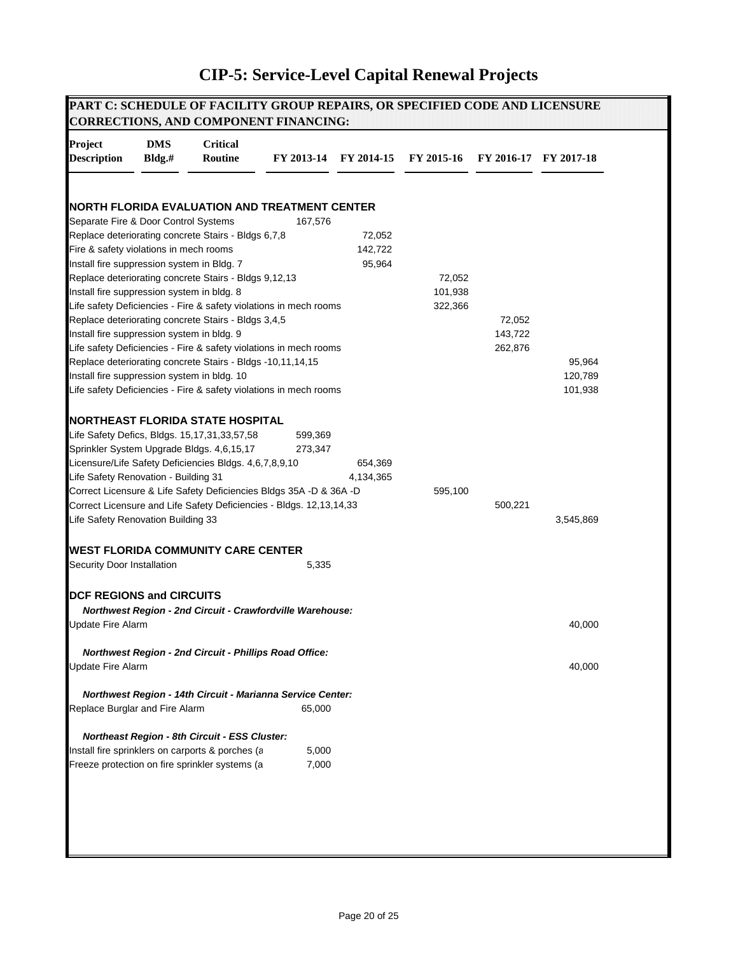| Project                                     | <b>DMS</b> | <b>Critical</b>                                                     |            |            |            |         |                       |
|---------------------------------------------|------------|---------------------------------------------------------------------|------------|------------|------------|---------|-----------------------|
| <b>Description</b>                          | Bldg.#     | Routine                                                             | FY 2013-14 | FY 2014-15 | FY 2015-16 |         | FY 2016-17 FY 2017-18 |
|                                             |            |                                                                     |            |            |            |         |                       |
| Separate Fire & Door Control Systems        |            | NORTH FLORIDA EVALUATION AND TREATMENT CENTER                       | 167,576    |            |            |         |                       |
|                                             |            | Replace deteriorating concrete Stairs - Bldgs 6,7,8                 |            | 72,052     |            |         |                       |
| Fire & safety violations in mech rooms      |            |                                                                     |            | 142,722    |            |         |                       |
| Install fire suppression system in Bldg. 7  |            |                                                                     |            | 95,964     |            |         |                       |
|                                             |            | Replace deteriorating concrete Stairs - Bldgs 9,12,13               |            |            | 72,052     |         |                       |
| Install fire suppression system in bldg. 8  |            |                                                                     |            |            | 101,938    |         |                       |
|                                             |            | Life safety Deficiencies - Fire & safety violations in mech rooms   |            |            | 322,366    |         |                       |
|                                             |            | Replace deteriorating concrete Stairs - Bldgs 3,4,5                 |            |            |            | 72,052  |                       |
| Install fire suppression system in bldg. 9  |            |                                                                     |            |            |            | 143,722 |                       |
|                                             |            | Life safety Deficiencies - Fire & safety violations in mech rooms   |            |            |            | 262,876 |                       |
|                                             |            | Replace deteriorating concrete Stairs - Bldgs -10,11,14,15          |            |            |            |         | 95,964                |
| Install fire suppression system in bldg. 10 |            |                                                                     |            |            |            |         | 120,789               |
|                                             |            | Life safety Deficiencies - Fire & safety violations in mech rooms   |            |            |            |         | 101,938               |
|                                             |            |                                                                     |            |            |            |         |                       |
|                                             |            | <b>NORTHEAST FLORIDA STATE HOSPITAL</b>                             |            |            |            |         |                       |
|                                             |            | Life Safety Defics, Bldgs. 15,17,31,33,57,58                        | 599,369    |            |            |         |                       |
|                                             |            | Sprinkler System Upgrade Bldgs. 4,6,15,17                           | 273,347    |            |            |         |                       |
|                                             |            | Licensure/Life Safety Deficiencies Bldgs. 4,6,7,8,9,10              |            | 654,369    |            |         |                       |
| Life Safety Renovation - Building 31        |            |                                                                     |            | 4,134,365  |            |         |                       |
|                                             |            | Correct Licensure & Life Safety Deficiencies Bldgs 35A -D & 36A -D  |            |            | 595,100    |         |                       |
|                                             |            | Correct Licensure and Life Safety Deficiencies - Bldgs. 12,13,14,33 |            |            |            | 500,221 |                       |
| Life Safety Renovation Building 33          |            |                                                                     |            |            |            |         | 3,545,869             |
|                                             |            | <b>WEST FLORIDA COMMUNITY CARE CENTER</b>                           |            |            |            |         |                       |
| Security Door Installation                  |            |                                                                     | 5,335      |            |            |         |                       |
|                                             |            |                                                                     |            |            |            |         |                       |
| <b>DCF REGIONS and CIRCUITS</b>             |            |                                                                     |            |            |            |         |                       |
|                                             |            | Northwest Region - 2nd Circuit - Crawfordville Warehouse:           |            |            |            |         |                       |
| <b>Update Fire Alarm</b>                    |            |                                                                     |            |            |            |         | 40,000                |
|                                             |            |                                                                     |            |            |            |         |                       |
|                                             |            | Northwest Region - 2nd Circuit - Phillips Road Office:              |            |            |            |         |                       |
| <b>Update Fire Alarm</b>                    |            |                                                                     |            |            |            |         | 40,000                |
|                                             |            | Northwest Region - 14th Circuit - Marianna Service Center:          |            |            |            |         |                       |
| Replace Burglar and Fire Alarm              |            |                                                                     | 65,000     |            |            |         |                       |
|                                             |            | Northeast Region - 8th Circuit - ESS Cluster:                       |            |            |            |         |                       |
|                                             |            | Install fire sprinklers on carports & porches (a                    | 5,000      |            |            |         |                       |
|                                             |            | Freeze protection on fire sprinkler systems (a                      | 7,000      |            |            |         |                       |
|                                             |            |                                                                     |            |            |            |         |                       |
|                                             |            |                                                                     |            |            |            |         |                       |
|                                             |            |                                                                     |            |            |            |         |                       |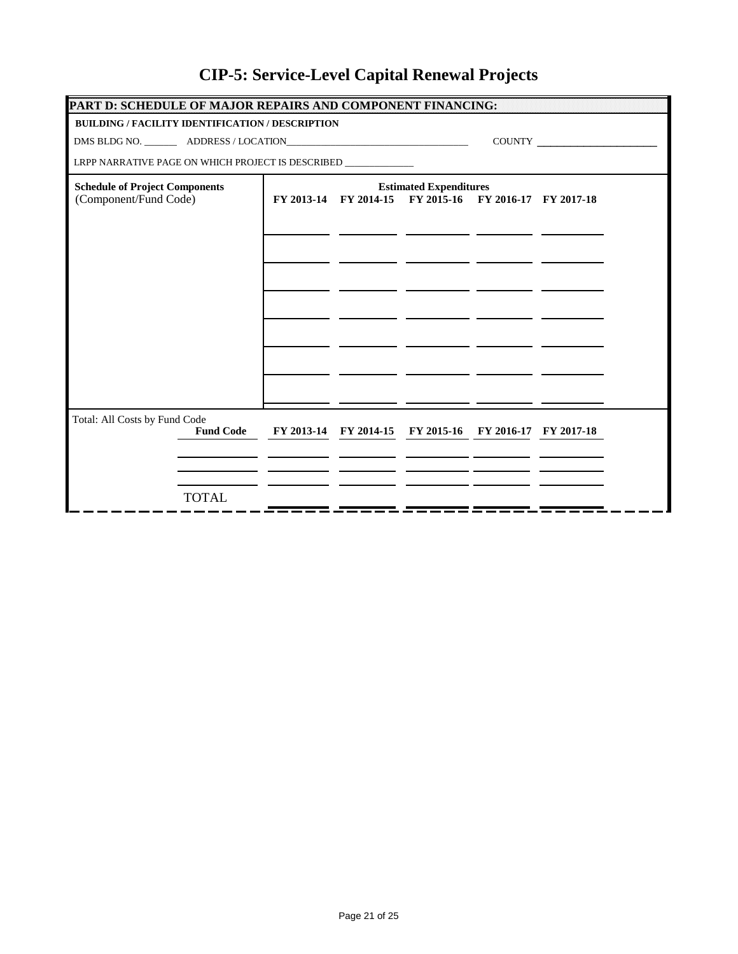| PART D: SCHEDULE OF MAJOR REPAIRS AND COMPONENT FINANCING:                                                                                                                                                                                                                                                                                                                                  |  |                               |                                                        |  |  |  |  |  |  |
|---------------------------------------------------------------------------------------------------------------------------------------------------------------------------------------------------------------------------------------------------------------------------------------------------------------------------------------------------------------------------------------------|--|-------------------------------|--------------------------------------------------------|--|--|--|--|--|--|
| <b>BUILDING / FACILITY IDENTIFICATION / DESCRIPTION</b>                                                                                                                                                                                                                                                                                                                                     |  |                               |                                                        |  |  |  |  |  |  |
| $\begin{picture}(150,10) \put(0,0){\dashbox{0.5}(10,0){ }} \put(15,0){\circle{10}} \put(15,0){\circle{10}} \put(15,0){\circle{10}} \put(15,0){\circle{10}} \put(15,0){\circle{10}} \put(15,0){\circle{10}} \put(15,0){\circle{10}} \put(15,0){\circle{10}} \put(15,0){\circle{10}} \put(15,0){\circle{10}} \put(15,0){\circle{10}} \put(15,0){\circle{10}} \put(15,0){\circle{10}} \put(15$ |  |                               |                                                        |  |  |  |  |  |  |
| LRPP NARRATIVE PAGE ON WHICH PROJECT IS DESCRIBED _____________                                                                                                                                                                                                                                                                                                                             |  |                               |                                                        |  |  |  |  |  |  |
| <b>Schedule of Project Components</b>                                                                                                                                                                                                                                                                                                                                                       |  | <b>Estimated Expenditures</b> |                                                        |  |  |  |  |  |  |
| (Component/Fund Code)                                                                                                                                                                                                                                                                                                                                                                       |  |                               | FY 2013-14 FY 2014-15 FY 2015-16 FY 2016-17 FY 2017-18 |  |  |  |  |  |  |
|                                                                                                                                                                                                                                                                                                                                                                                             |  |                               |                                                        |  |  |  |  |  |  |
|                                                                                                                                                                                                                                                                                                                                                                                             |  |                               |                                                        |  |  |  |  |  |  |
|                                                                                                                                                                                                                                                                                                                                                                                             |  |                               |                                                        |  |  |  |  |  |  |
|                                                                                                                                                                                                                                                                                                                                                                                             |  |                               |                                                        |  |  |  |  |  |  |
|                                                                                                                                                                                                                                                                                                                                                                                             |  |                               |                                                        |  |  |  |  |  |  |
|                                                                                                                                                                                                                                                                                                                                                                                             |  |                               |                                                        |  |  |  |  |  |  |
|                                                                                                                                                                                                                                                                                                                                                                                             |  |                               |                                                        |  |  |  |  |  |  |
|                                                                                                                                                                                                                                                                                                                                                                                             |  |                               |                                                        |  |  |  |  |  |  |
|                                                                                                                                                                                                                                                                                                                                                                                             |  |                               |                                                        |  |  |  |  |  |  |
|                                                                                                                                                                                                                                                                                                                                                                                             |  |                               |                                                        |  |  |  |  |  |  |
| Total: All Costs by Fund Code                                                                                                                                                                                                                                                                                                                                                               |  |                               |                                                        |  |  |  |  |  |  |
| <b>Fund Code</b>                                                                                                                                                                                                                                                                                                                                                                            |  |                               | FY 2013-14 FY 2014-15 FY 2015-16 FY 2016-17 FY 2017-18 |  |  |  |  |  |  |
|                                                                                                                                                                                                                                                                                                                                                                                             |  |                               |                                                        |  |  |  |  |  |  |
|                                                                                                                                                                                                                                                                                                                                                                                             |  |                               |                                                        |  |  |  |  |  |  |
| <b>TOTAL</b>                                                                                                                                                                                                                                                                                                                                                                                |  |                               |                                                        |  |  |  |  |  |  |
|                                                                                                                                                                                                                                                                                                                                                                                             |  |                               |                                                        |  |  |  |  |  |  |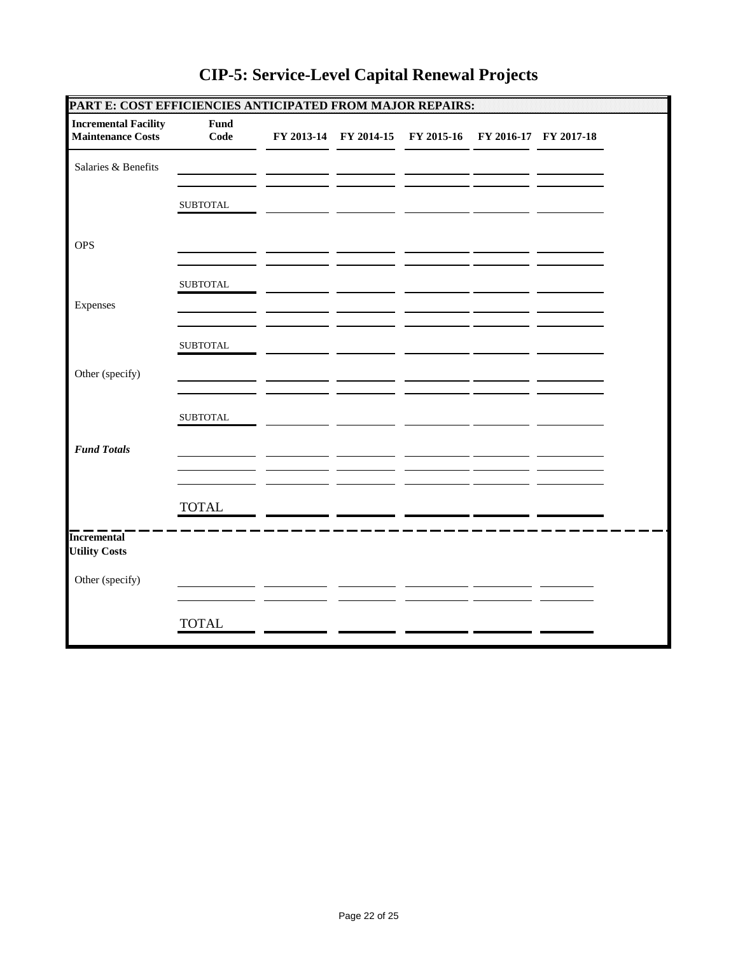| PART E: COST EFFICIENCIES ANTICIPATED FROM MAJOR REPAIRS: |                 |  |                                                        |  |  |
|-----------------------------------------------------------|-----------------|--|--------------------------------------------------------|--|--|
| <b>Incremental Facility</b><br><b>Maintenance Costs</b>   | Fund<br>Code    |  | FY 2013-14 FY 2014-15 FY 2015-16 FY 2016-17 FY 2017-18 |  |  |
| Salaries & Benefits                                       |                 |  |                                                        |  |  |
|                                                           | <b>SUBTOTAL</b> |  |                                                        |  |  |
| <b>OPS</b>                                                |                 |  |                                                        |  |  |
|                                                           | <b>SUBTOTAL</b> |  |                                                        |  |  |
| Expenses                                                  |                 |  |                                                        |  |  |
|                                                           | <b>SUBTOTAL</b> |  |                                                        |  |  |
| Other (specify)                                           |                 |  |                                                        |  |  |
|                                                           | <b>SUBTOTAL</b> |  |                                                        |  |  |
| <b>Fund Totals</b>                                        |                 |  |                                                        |  |  |
|                                                           | <b>TOTAL</b>    |  |                                                        |  |  |
| <b>Incremental</b><br><b>Utility Costs</b>                |                 |  |                                                        |  |  |
| Other (specify)                                           |                 |  |                                                        |  |  |
|                                                           | <b>TOTAL</b>    |  |                                                        |  |  |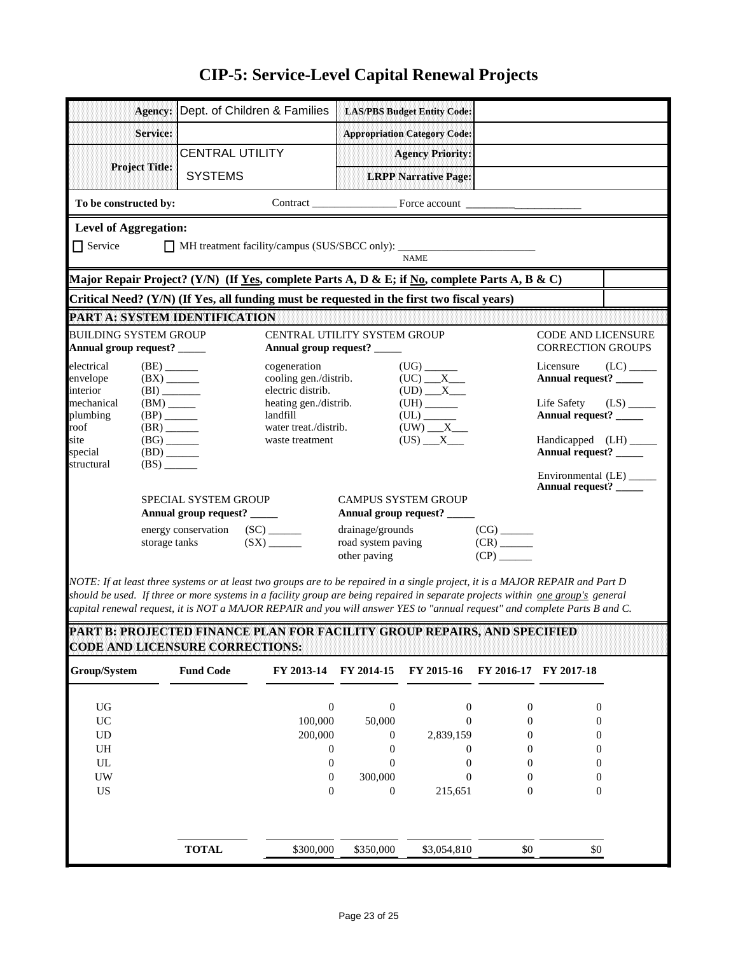| Agency:                                                    | Dept. of Children & Families                                                                                        | <b>LAS/PBS Budget Entity Code:</b>                                                                                      |                                                                 |
|------------------------------------------------------------|---------------------------------------------------------------------------------------------------------------------|-------------------------------------------------------------------------------------------------------------------------|-----------------------------------------------------------------|
| Service:                                                   |                                                                                                                     | <b>Appropriation Category Code:</b>                                                                                     |                                                                 |
|                                                            | <b>CENTRAL UTILITY</b>                                                                                              | <b>Agency Priority:</b>                                                                                                 |                                                                 |
| <b>Project Title:</b>                                      | <b>SYSTEMS</b>                                                                                                      | <b>LRPP Narrative Page:</b>                                                                                             |                                                                 |
| To be constructed by:                                      |                                                                                                                     |                                                                                                                         |                                                                 |
| <b>Level of Aggregation:</b>                               |                                                                                                                     |                                                                                                                         |                                                                 |
| $\Box$ Service                                             |                                                                                                                     | <b>NAME</b>                                                                                                             |                                                                 |
|                                                            |                                                                                                                     | Major Repair Project? (Y/N) (If Yes, complete Parts A, D & E; if No, complete Parts A, B & C)                           |                                                                 |
|                                                            |                                                                                                                     | Critical Need? (Y/N) (If Yes, all funding must be requested in the first two fiscal years)                              |                                                                 |
|                                                            | PART A: SYSTEM IDENTIFICATION                                                                                       |                                                                                                                         |                                                                 |
| <b>BUILDING SYSTEM GROUP</b><br>Annual group request? ____ |                                                                                                                     | CENTRAL UTILITY SYSTEM GROUP<br>Annual group request? _____                                                             | <b>CODE AND LICENSURE</b><br><b>CORRECTION GROUPS</b>           |
| electrical<br>envelope<br>interior                         | (BE)<br>cogeneration<br>cooling gen./distrib.<br>$(BX)$ <sub>_____</sub><br>electric distrib.<br>(BI)               | $(UC)$ $X$<br>$(UD)$ $X$ $X$                                                                                            | Licensure<br>$(LC)$ <sub>_____</sub><br>Annual request? _____   |
| mechanical<br>plumbing<br>roof                             | heating gen./distrib.<br>$(BP)$ <sub>______</sub><br>landfill<br>water treat./distrib.<br>$(BR)$ <sub>_______</sub> | ${\rm (UH)} \xrightarrow{\phantom{a}}$<br>${\rm (UL)} \xrightarrow{\phantom{aa}}$<br>$(UW)$ $X$                         | Life Safety<br>$(LS)$ <sub>_____</sub><br>Annual request? _____ |
| site<br>special                                            | $(BG)$ <sub>______</sub><br>waste treatment<br>$(BD)$ <sub>______</sub>                                             | $(US)$ $X$ $X$                                                                                                          | Annual request? _____                                           |
| structural                                                 | $(BS)$ <sub>______</sub>                                                                                            |                                                                                                                         | Environmental (LE) _____<br>Annual request? _____               |
|                                                            | <b>SPECIAL SYSTEM GROUP</b>                                                                                         | <b>CAMPUS SYSTEM GROUP</b>                                                                                              |                                                                 |
|                                                            | Annual group request? _____                                                                                         | Annual group request? _____                                                                                             |                                                                 |
|                                                            | (SX)<br>storage tanks                                                                                               | drainage/grounds<br>$(CG)$ <sub>_______</sub><br>road system paving<br>$(CR)$ <sub>______</sub><br>(CP)<br>other paving |                                                                 |

*NOTE: If at least three systems or at least two groups are to be repaired in a single project, it is a MAJOR REPAIR and Part D should be used. If three or more systems in a facility group are being repaired in separate projects within one group's general capital renewal request, it is NOT a MAJOR REPAIR and you will answer YES to "annual request" and complete Parts B and C.*

**PART B: PROJECTED FINANCE PLAN FOR FACILITY GROUP REPAIRS, AND SPECIFIED CODE AND LICENSURE CORRECTIONS:**

| Group/System | <b>Fund Code</b> | FY 2013-14 | FY 2014-15     | FY 2015-16  |                  | FY 2016-17 FY 2017-18 |
|--------------|------------------|------------|----------------|-------------|------------------|-----------------------|
| <b>UG</b>    |                  | $\theta$   | $\Omega$       | $\Omega$    | $\theta$         | $\theta$              |
| <b>UC</b>    |                  | 100,000    | 50,000         | 0           | $\theta$         |                       |
| <b>UD</b>    |                  | 200,000    | $\Omega$       | 2,839,159   | 0                | $\theta$              |
| UH           |                  | 0          |                | 0           | $\theta$         |                       |
| UL           |                  | 0          | $\theta$       | 0           | $\Omega$         | $\mathbf{\Omega}$     |
| UW           |                  | $\Omega$   | 300,000        | 0           | 0                |                       |
| <b>US</b>    |                  | $\theta$   | $\overline{0}$ | 215,651     | $\boldsymbol{0}$ | $_{0}$                |
|              |                  |            |                |             |                  |                       |
|              | <b>TOTAL</b>     | \$300,000  | \$350,000      | \$3,054,810 | \$0              | \$0                   |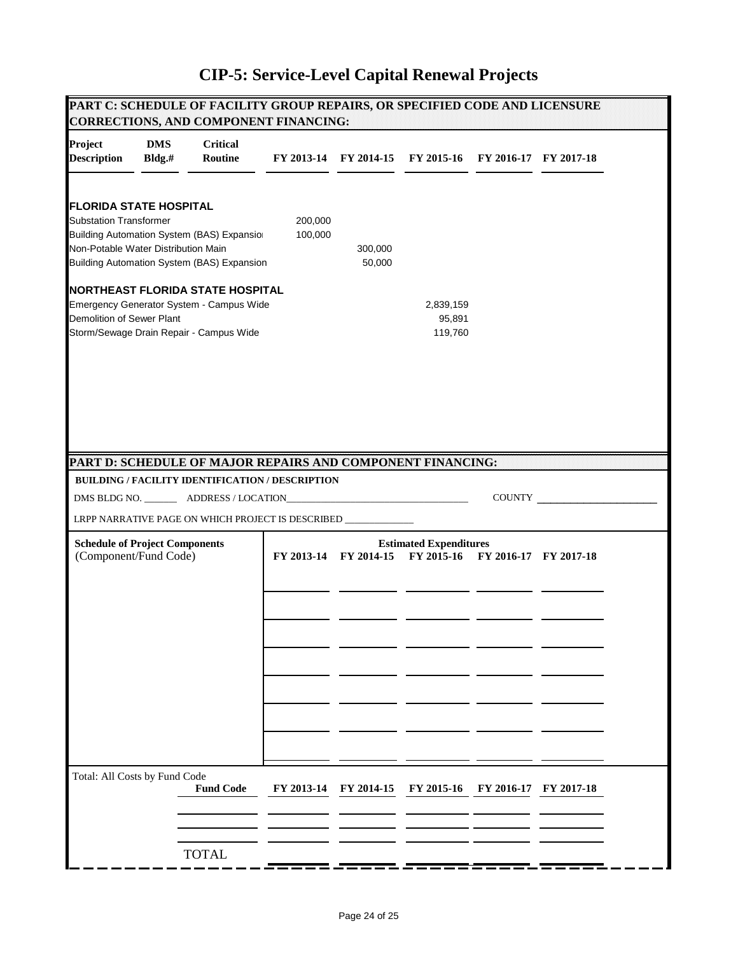|                                                                                                       |                      | PART C: SCHEDULE OF FACILITY GROUP REPAIRS, OR SPECIFIED CODE AND LICENSURE<br><b>CORRECTIONS, AND COMPONENT FINANCING:</b>                                                                                               |                    |                   |                                             |                       |               |  |
|-------------------------------------------------------------------------------------------------------|----------------------|---------------------------------------------------------------------------------------------------------------------------------------------------------------------------------------------------------------------------|--------------------|-------------------|---------------------------------------------|-----------------------|---------------|--|
| Project<br><b>Description</b>                                                                         | <b>DMS</b><br>Bldg.# | <b>Critical</b><br>Routine                                                                                                                                                                                                | FY 2013-14         |                   | FY 2014-15 FY 2015-16                       | FY 2016-17 FY 2017-18 |               |  |
| <b>FLORIDA STATE HOSPITAL</b><br><b>Substation Transformer</b><br>Non-Potable Water Distribution Main |                      | <b>Building Automation System (BAS) Expansior</b><br>Building Automation System (BAS) Expansion                                                                                                                           | 200,000<br>100,000 | 300,000<br>50,000 |                                             |                       |               |  |
| Demolition of Sewer Plant                                                                             |                      | <b>NORTHEAST FLORIDA STATE HOSPITAL</b><br>Emergency Generator System - Campus Wide<br>Storm/Sewage Drain Repair - Campus Wide                                                                                            |                    |                   | 2,839,159<br>95,891<br>119,760              |                       |               |  |
|                                                                                                       |                      | PART D: SCHEDULE OF MAJOR REPAIRS AND COMPONENT FINANCING:<br>BUILDING / FACILITY IDENTIFICATION / DESCRIPTION<br>DMS BLDG NO. ___________ ADDRESS / LOCATION_<br>LRPP NARRATIVE PAGE ON WHICH PROJECT IS DESCRIBED _____ |                    |                   |                                             |                       | <b>COUNTY</b> |  |
| <b>Schedule of Project Components</b><br>(Component/Fund Code)                                        |                      |                                                                                                                                                                                                                           | FY 2013-14         | FY 2014-15        | <b>Estimated Expenditures</b><br>FY 2015-16 | FY 2016-17 FY 2017-18 |               |  |
|                                                                                                       |                      |                                                                                                                                                                                                                           |                    |                   |                                             |                       |               |  |
| Total: All Costs by Fund Code                                                                         |                      |                                                                                                                                                                                                                           |                    |                   |                                             |                       |               |  |
|                                                                                                       |                      | <b>Fund Code</b><br><b>TOTAL</b>                                                                                                                                                                                          | FY 2013-14         | FY 2014-15        | FY 2015-16                                  | FY 2016-17            | FY 2017-18    |  |